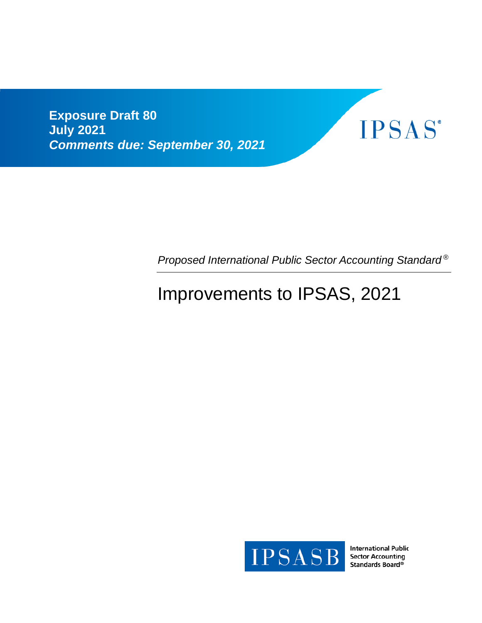**Exposure Draft 80 July 2021** *Comments due: September 30, 2021*

**IPSAS**\*

*Proposed International Public Sector Accounting Standard ®*

# Improvements to IPSAS, 2021



**International Public Sector Accounting** Standards Board®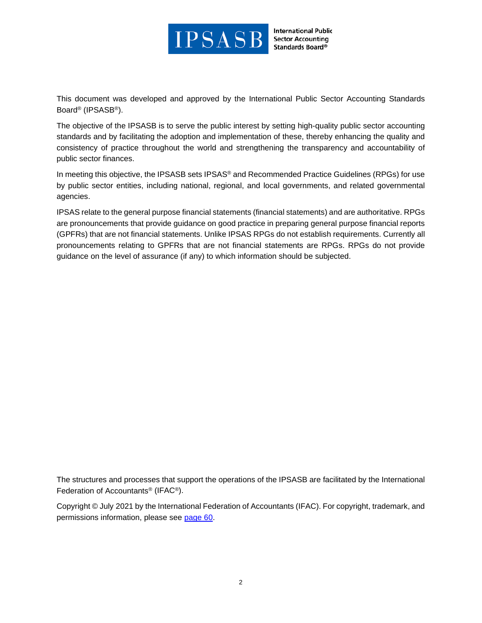

**International Public Sector Accounting** Standards Board®

This document was developed and approved by the International Public Sector Accounting Standards Board® (IPSASB®).

The objective of the IPSASB is to serve the public interest by setting high-quality public sector accounting standards and by facilitating the adoption and implementation of these, thereby enhancing the quality and consistency of practice throughout the world and strengthening the transparency and accountability of public sector finances.

In meeting this objective, the IPSASB sets IPSAS<sup>®</sup> and Recommended Practice Guidelines (RPGs) for use by public sector entities, including national, regional, and local governments, and related governmental agencies.

IPSAS relate to the general purpose financial statements (financial statements) and are authoritative. RPGs are pronouncements that provide guidance on good practice in preparing general purpose financial reports (GPFRs) that are not financial statements. Unlike IPSAS RPGs do not establish requirements. Currently all pronouncements relating to GPFRs that are not financial statements are RPGs. RPGs do not provide guidance on the level of assurance (if any) to which information should be subjected.

The structures and processes that support the operations of the IPSASB are facilitated by the International Federation of Accountants® (IFAC®).

Copyright © July 2021 by the International Federation of Accountants (IFAC). For copyright, trademark, and permissions information, please see [page](#page-59-0) 60.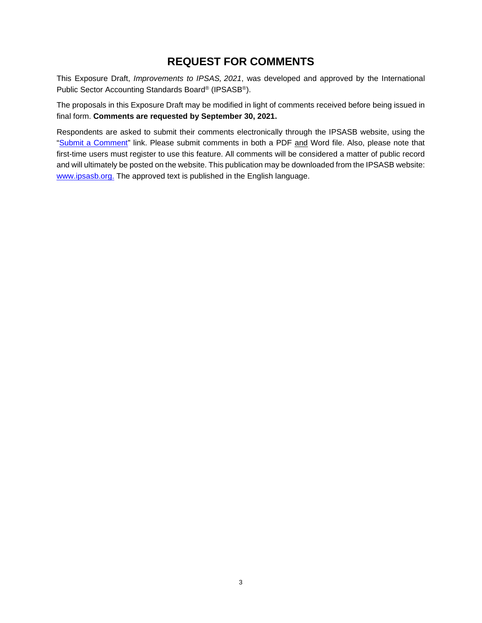# **REQUEST FOR COMMENTS**

This Exposure Draft, *Improvements to IPSAS, 2021*, was developed and approved by the International Public Sector Accounting Standards Board® (IPSASB®).

The proposals in this Exposure Draft may be modified in light of comments received before being issued in final form. **Comments are requested by September 30, 2021.**

Respondents are asked to submit their comments electronically through the IPSASB website, using the ["Submit a Comment"](https://www.ipsasb.org/exposure-draft/submit-comment?exposure-draft=288573) link. Please submit comments in both a PDF and Word file. Also, please note that first-time users must register to use this feature. All comments will be considered a matter of public record and will ultimately be posted on the website. This publication may be downloaded from the IPSASB website: [www.ipsasb.org.](https://www.ipsasb.org/) The approved text is published in the English language.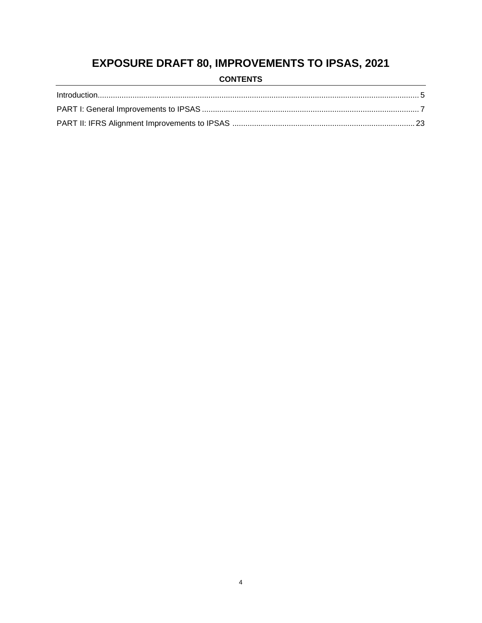# **EXPOSURE DRAFT 80, IMPROVEMENTS TO IPSAS, 2021**

### **CONTENTS**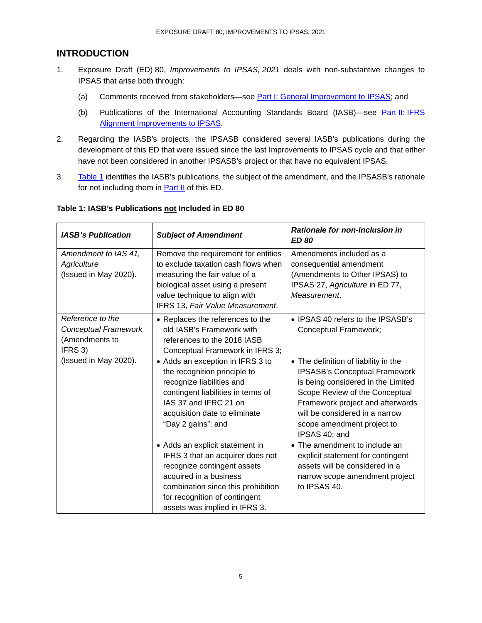# <span id="page-4-0"></span>**INTRODUCTION**

- 1. Exposure Draft (ED) 80, *Improvements to IPSAS, 2021* deals with non-substantive changes to IPSAS that arise both through:
	- (a) Comments received from stakeholders—see Part I: [General Improvement to IPSAS;](#page-6-0) and
	- (b) Publications of the International Accounting Standards Board (IASB)-see Part II: IFRS [Alignment Improvements to IPSAS.](#page-22-0)
- 2. Regarding the IASB's projects, the IPSASB considered several IASB's publications during the development of this ED that were issued since the last Improvements to IPSAS cycle and that either have not been considered in another IPSASB's project or that have no equivalent IPSAS.
- 3. [Table](#page-4-1) 1 identifies the IASB's publications, the subject of the amendment, and the IPSASB's rationale for not including them in **Part II** of this ED.

<span id="page-4-1"></span>

| Table 1: IASB's Publications not Included in ED 80 |  |
|----------------------------------------------------|--|
|----------------------------------------------------|--|

| <b>IASB's Publication</b>                                                                             | <b>Subject of Amendment</b>                                                                                                                                                                                                                                                                                                                                                                                                                                                                                                                                                                    | <b>Rationale for non-inclusion in</b><br><b>ED 80</b>                                                                                                                                                                                                                                                                                                                                                                                                                                             |
|-------------------------------------------------------------------------------------------------------|------------------------------------------------------------------------------------------------------------------------------------------------------------------------------------------------------------------------------------------------------------------------------------------------------------------------------------------------------------------------------------------------------------------------------------------------------------------------------------------------------------------------------------------------------------------------------------------------|---------------------------------------------------------------------------------------------------------------------------------------------------------------------------------------------------------------------------------------------------------------------------------------------------------------------------------------------------------------------------------------------------------------------------------------------------------------------------------------------------|
| Amendment to IAS 41,<br>Agriculture<br>(Issued in May 2020).                                          | Remove the requirement for entities<br>to exclude taxation cash flows when<br>measuring the fair value of a<br>biological asset using a present<br>value technique to align with<br>IFRS 13, Fair Value Measurement.                                                                                                                                                                                                                                                                                                                                                                           | Amendments included as a<br>consequential amendment<br>(Amendments to Other IPSAS) to<br>IPSAS 27, Agriculture in ED 77,<br>Measurement.                                                                                                                                                                                                                                                                                                                                                          |
| Reference to the<br><b>Conceptual Framework</b><br>(Amendments to<br>IFRS 3)<br>(Issued in May 2020). | • Replaces the references to the<br>old IASB's Framework with<br>references to the 2018 IASB<br>Conceptual Framework in IFRS 3;<br>• Adds an exception in IFRS 3 to<br>the recognition principle to<br>recognize liabilities and<br>contingent liabilities in terms of<br>IAS 37 and IFRC 21 on<br>acquisition date to eliminate<br>"Day 2 gains"; and<br>• Adds an explicit statement in<br>IFRS 3 that an acquirer does not<br>recognize contingent assets<br>acquired in a business<br>combination since this prohibition<br>for recognition of contingent<br>assets was implied in IFRS 3. | • IPSAS 40 refers to the IPSASB's<br>Conceptual Framework;<br>• The definition of liability in the<br><b>IPSASB's Conceptual Framework</b><br>is being considered in the Limited<br>Scope Review of the Conceptual<br>Framework project and afterwards<br>will be considered in a narrow<br>scope amendment project to<br>IPSAS 40; and<br>• The amendment to include an<br>explicit statement for contingent<br>assets will be considered in a<br>narrow scope amendment project<br>to IPSAS 40. |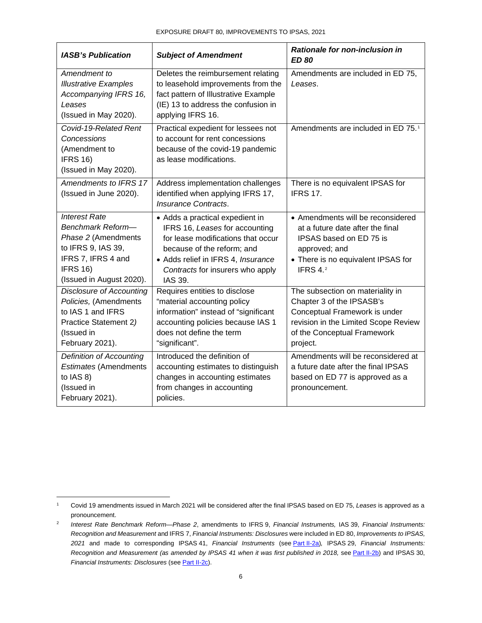| <b>IASB's Publication</b>                                                                                                                                   | <b>Subject of Amendment</b>                                                                                                                                                                                                       | <b>Rationale for non-inclusion in</b><br><b>ED 80</b>                                                                                                                             |
|-------------------------------------------------------------------------------------------------------------------------------------------------------------|-----------------------------------------------------------------------------------------------------------------------------------------------------------------------------------------------------------------------------------|-----------------------------------------------------------------------------------------------------------------------------------------------------------------------------------|
| Amendment to<br><b>Illustrative Examples</b><br>Accompanying IFRS 16,<br>Leases<br>(Issued in May 2020).                                                    | Deletes the reimbursement relating<br>to leasehold improvements from the<br>fact pattern of Illustrative Example<br>(IE) 13 to address the confusion in<br>applying IFRS 16.                                                      | Amendments are included in ED 75,<br>Leases.                                                                                                                                      |
| Covid-19-Related Rent<br>Concessions<br>(Amendment to<br><b>IFRS 16)</b><br>(Issued in May 2020).                                                           | Practical expedient for lessees not<br>to account for rent concessions<br>because of the covid-19 pandemic<br>as lease modifications.                                                                                             | Amendments are included in ED 75.1                                                                                                                                                |
| Amendments to IFRS 17<br>(Issued in June 2020).                                                                                                             | Address implementation challenges<br>identified when applying IFRS 17,<br>Insurance Contracts.                                                                                                                                    | There is no equivalent IPSAS for<br><b>IFRS 17.</b>                                                                                                                               |
| <b>Interest Rate</b><br>Benchmark Reform-<br>Phase 2 (Amendments<br>to IFRS 9, IAS 39,<br>IFRS 7, IFRS 4 and<br><b>IFRS 16)</b><br>(Issued in August 2020). | • Adds a practical expedient in<br>IFRS 16, Leases for accounting<br>for lease modifications that occur<br>because of the reform; and<br>• Adds relief in IFRS 4, Insurance<br>Contracts for insurers who apply<br><b>IAS 39.</b> | • Amendments will be reconsidered<br>at a future date after the final<br>IPSAS based on ED 75 is<br>approved; and<br>• There is no equivalent IPSAS for<br>IFRS 4.2               |
| <b>Disclosure of Accounting</b><br>Policies, (Amendments<br>to IAS 1 and IFRS<br>Practice Statement 2)<br>(Issued in<br>February 2021).                     | Requires entities to disclose<br>"material accounting policy<br>information" instead of "significant<br>accounting policies because IAS 1<br>does not define the term<br>"significant".                                           | The subsection on materiality in<br>Chapter 3 of the IPSASB's<br>Conceptual Framework is under<br>revision in the Limited Scope Review<br>of the Conceptual Framework<br>project. |
| <b>Definition of Accounting</b><br><b>Estimates (Amendments</b><br>to $IAS 8)$<br>(Issued in<br>February 2021).                                             | Introduced the definition of<br>accounting estimates to distinguish<br>changes in accounting estimates<br>from changes in accounting<br>policies.                                                                                 | Amendments will be reconsidered at<br>a future date after the final IPSAS<br>based on ED 77 is approved as a<br>pronouncement.                                                    |

<span id="page-5-0"></span><sup>1</sup> Covid 19 amendments issued in March 2021 will be considered after the final IPSAS based on ED 75, *Leases* is approved as a pronouncement.

<span id="page-5-1"></span><sup>2</sup> *Interest Rate Benchmark Reform—Phase 2*, amendments to IFRS 9, *Financial Instruments,* IAS 39, *Financial Instruments: Recognition and Measurement* and IFRS 7, *Financial Instruments: Disclosures* were included in ED 80, *Improvements to IPSAS, 2021* and made to corresponding IPSAS 41, *Financial Instruments* (see Part [II-2a\)](#page-34-0)*,* IPSAS 29, *Financial Instruments: Recognition and Measurement (as amended by IPSAS 41 when it was first published in 2018,* see Part [II-2b\)](#page-40-0) and IPSAS 30, *Financial Instruments: Disclosures* (see Part [II-2c\).](#page-45-0)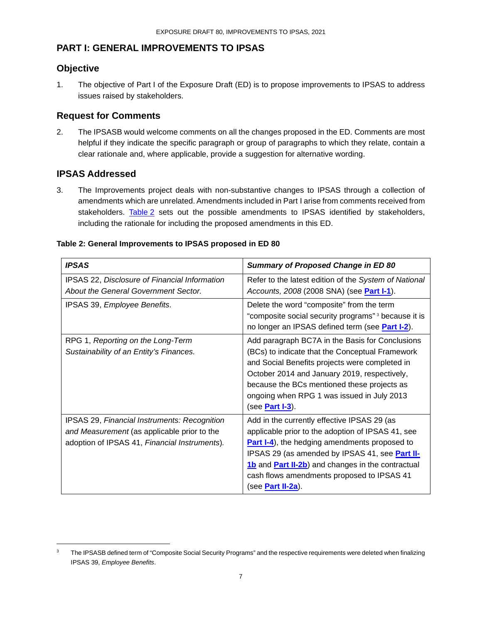# <span id="page-6-0"></span>**PART I: GENERAL IMPROVEMENTS TO IPSAS**

# **Objective**

1. The objective of Part I of the Exposure Draft (ED) is to propose improvements to IPSAS to address issues raised by stakeholders.

# **Request for Comments**

2. The IPSASB would welcome comments on all the changes proposed in the ED. Comments are most helpful if they indicate the specific paragraph or group of paragraphs to which they relate, contain a clear rationale and, where applicable, provide a suggestion for alternative wording.

# **IPSAS Addressed**

3. The Improvements project deals with non-substantive changes to IPSAS through a collection of amendments which are unrelated. Amendments included in Part I arise from comments received from stakeholders. [Table](#page-6-1) 2 sets out the possible amendments to IPSAS identified by stakeholders, including the rationale for including the proposed amendments in this ED.

| <b>IPSAS</b>                                                                                                                                        | Summary of Proposed Change in ED 80                                                                                                                                                                                                                                                                                                 |
|-----------------------------------------------------------------------------------------------------------------------------------------------------|-------------------------------------------------------------------------------------------------------------------------------------------------------------------------------------------------------------------------------------------------------------------------------------------------------------------------------------|
| IPSAS 22, Disclosure of Financial Information<br>About the General Government Sector.                                                               | Refer to the latest edition of the System of National<br>Accounts, 2008 (2008 SNA) (see Part I-1).                                                                                                                                                                                                                                  |
| IPSAS 39, Employee Benefits.                                                                                                                        | Delete the word "composite" from the term<br>"composite social security programs" <sup>3</sup> because it is<br>no longer an IPSAS defined term (see Part I-2).                                                                                                                                                                     |
| RPG 1, Reporting on the Long-Term<br>Sustainability of an Entity's Finances.                                                                        | Add paragraph BC7A in the Basis for Conclusions<br>(BCs) to indicate that the Conceptual Framework<br>and Social Benefits projects were completed in<br>October 2014 and January 2019, respectively,<br>because the BCs mentioned these projects as<br>ongoing when RPG 1 was issued in July 2013<br>(see $Part I-3$ ).             |
| <b>IPSAS 29, Financial Instruments: Recognition</b><br>and Measurement (as applicable prior to the<br>adoption of IPSAS 41, Financial Instruments). | Add in the currently effective IPSAS 29 (as<br>applicable prior to the adoption of IPSAS 41, see<br>Part I-4), the hedging amendments proposed to<br>IPSAS 29 (as amended by IPSAS 41, see Part II-<br>1b and Part II-2b) and changes in the contractual<br>cash flows amendments proposed to IPSAS 41<br>(see <b>Part II-2a</b> ). |

#### <span id="page-6-1"></span>**Table 2: General Improvements to IPSAS proposed in ED 80**

<span id="page-6-2"></span><sup>&</sup>lt;sup>3</sup> The IPSASB defined term of "Composite Social Security Programs" and the respective requirements were deleted when finalizing IPSAS 39, *Employee Benefits*.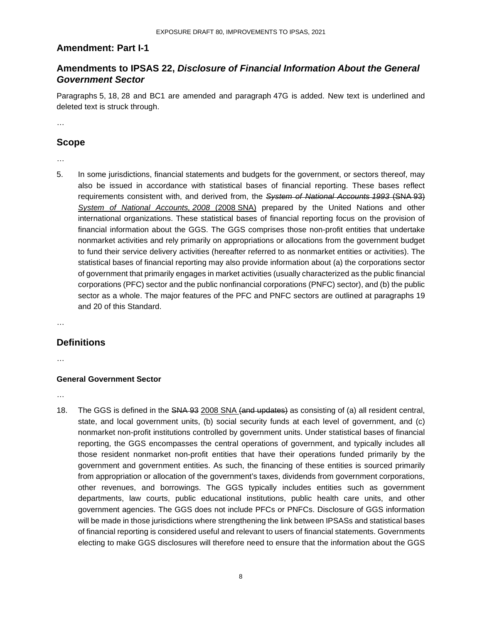# <span id="page-7-0"></span>**Amendment: Part I-1**

# **Amendments to IPSAS 22,** *Disclosure of Financial Information About the General Government Sector*

Paragraphs 5, 18, 28 and BC1 are amended and paragraph 47G is added. New text is underlined and deleted text is struck through.

…

### **Scope**

- …
- 5. In some jurisdictions, financial statements and budgets for the government, or sectors thereof, may also be issued in accordance with statistical bases of financial reporting. These bases reflect requirements consistent with, and derived from, the *System of National Accounts 1993* (SNA 93) *System of National Accounts, 2008* (2008 SNA) prepared by the United Nations and other international organizations. These statistical bases of financial reporting focus on the provision of financial information about the GGS. The GGS comprises those non-profit entities that undertake nonmarket activities and rely primarily on appropriations or allocations from the government budget to fund their service delivery activities (hereafter referred to as nonmarket entities or activities). The statistical bases of financial reporting may also provide information about (a) the corporations sector of government that primarily engages in market activities (usually characterized as the public financial corporations (PFC) sector and the public nonfinancial corporations (PNFC) sector), and (b) the public sector as a whole. The major features of the PFC and PNFC sectors are outlined at paragraphs 19 and 20 of this Standard.

…

# **Definitions**

…

### **General Government Sector**

…

18. The GGS is defined in the SNA 93 2008 SNA (and updates) as consisting of (a) all resident central, state, and local government units, (b) social security funds at each level of government, and (c) nonmarket non-profit institutions controlled by government units. Under statistical bases of financial reporting, the GGS encompasses the central operations of government, and typically includes all those resident nonmarket non-profit entities that have their operations funded primarily by the government and government entities. As such, the financing of these entities is sourced primarily from appropriation or allocation of the government's taxes, dividends from government corporations, other revenues, and borrowings. The GGS typically includes entities such as government departments, law courts, public educational institutions, public health care units, and other government agencies. The GGS does not include PFCs or PNFCs. Disclosure of GGS information will be made in those jurisdictions where strengthening the link between IPSASs and statistical bases of financial reporting is considered useful and relevant to users of financial statements. Governments electing to make GGS disclosures will therefore need to ensure that the information about the GGS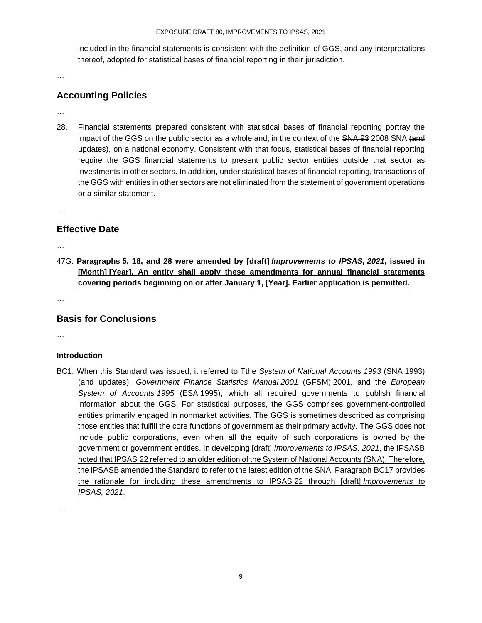included in the financial statements is consistent with the definition of GGS, and any interpretations thereof, adopted for statistical bases of financial reporting in their jurisdiction.

…

# **Accounting Policies**

…

28. Financial statements prepared consistent with statistical bases of financial reporting portray the impact of the GGS on the public sector as a whole and, in the context of the SNA 93 2008 SNA (and updates), on a national economy. Consistent with that focus, statistical bases of financial reporting require the GGS financial statements to present public sector entities outside that sector as investments in other sectors. In addition, under statistical bases of financial reporting, transactions of the GGS with entities in other sectors are not eliminated from the statement of government operations or a similar statement.

…

### **Effective Date**

…

47G. **Paragraphs 5, 18, and 28 were amended by [draft]** *Improvements to IPSAS, 2021***, issued in [Month] [Year]. An entity shall apply these amendments for annual financial statements covering periods beginning on or after January 1, [Year]. Earlier application is permitted.**

…

### **Basis for Conclusions**

…

#### **Introduction**

BC1. When this Standard was issued, it referred to Tthe *System of National Accounts 1993* (SNA 1993) (and updates), *Government Finance Statistics Manual 2001* (GFSM) 2001, and the *European System of Accounts 1995* (ESA 1995), which all required governments to publish financial information about the GGS. For statistical purposes, the GGS comprises government-controlled entities primarily engaged in nonmarket activities. The GGS is sometimes described as comprising those entities that fulfill the core functions of government as their primary activity. The GGS does not include public corporations, even when all the equity of such corporations is owned by the government or government entities. In developing [draft] *Improvements to IPSAS, 2021*, the IPSASB noted that IPSAS 22 referred to an older edition of the System of National Accounts (SNA). Therefore, the IPSASB amended the Standard to refer to the latest edition of the SNA. Paragraph BC17 provides the rationale for including these amendments to IPSAS 22 through [draft] *Improvements to IPSAS, 2021*.

…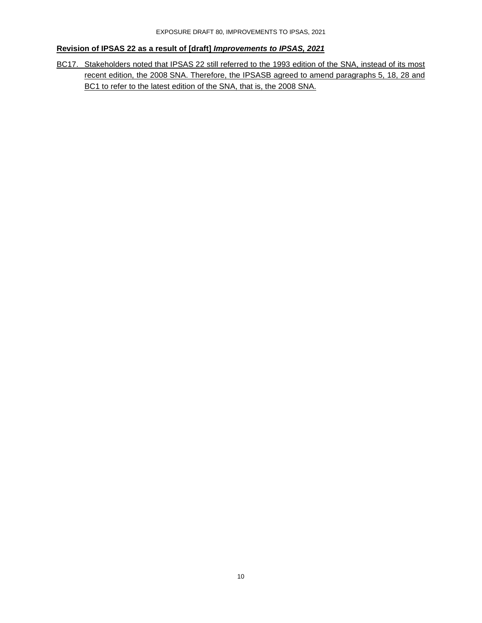#### **Revision of IPSAS 22 as a result of [draft]** *Improvements to IPSAS, 2021*

BC17. Stakeholders noted that IPSAS 22 still referred to the 1993 edition of the SNA, instead of its most recent edition, the 2008 SNA. Therefore, the IPSASB agreed to amend paragraphs 5, 18, 28 and BC1 to refer to the latest edition of the SNA, that is, the 2008 SNA.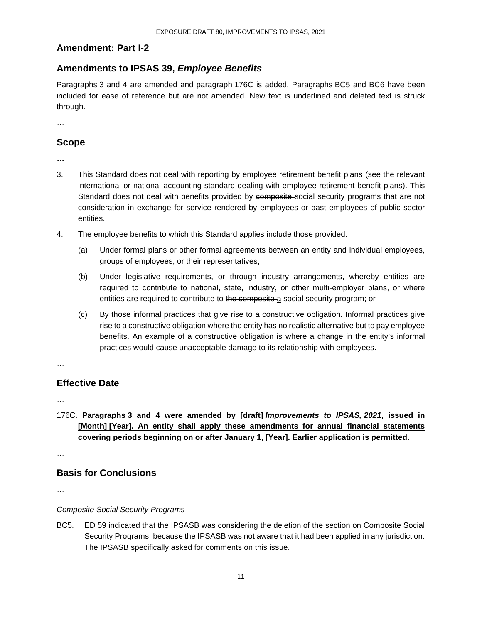### <span id="page-10-0"></span>**Amendment: Part I-2**

### **Amendments to IPSAS 39,** *Employee Benefits*

Paragraphs 3 and 4 are amended and paragraph 176C is added. Paragraphs BC5 and BC6 have been included for ease of reference but are not amended. New text is underlined and deleted text is struck through.

…

### **Scope**

**…**

- 3. This Standard does not deal with reporting by employee retirement benefit plans (see the relevant international or national accounting standard dealing with employee retirement benefit plans). This Standard does not deal with benefits provided by composite-social security programs that are not consideration in exchange for service rendered by employees or past employees of public sector entities.
- 4. The employee benefits to which this Standard applies include those provided:
	- (a) Under formal plans or other formal agreements between an entity and individual employees, groups of employees, or their representatives;
	- (b) Under legislative requirements, or through industry arrangements, whereby entities are required to contribute to national, state, industry, or other multi-employer plans, or where entities are required to contribute to the composite a social security program; or
	- (c) By those informal practices that give rise to a constructive obligation. Informal practices give rise to a constructive obligation where the entity has no realistic alternative but to pay employee benefits. An example of a constructive obligation is where a change in the entity's informal practices would cause unacceptable damage to its relationship with employees.

…

# **Effective Date**

…

# 176C. **Paragraphs 3 and 4 were amended by [draft]** *Improvements to IPSAS, 2021***, issued in [Month] [Year]. An entity shall apply these amendments for annual financial statements covering periods beginning on or after January 1, [Year]. Earlier application is permitted.**

…

# **Basis for Conclusions**

…

#### *Composite Social Security Programs*

BC5. ED 59 indicated that the IPSASB was considering the deletion of the section on Composite Social Security Programs, because the IPSASB was not aware that it had been applied in any jurisdiction. The IPSASB specifically asked for comments on this issue.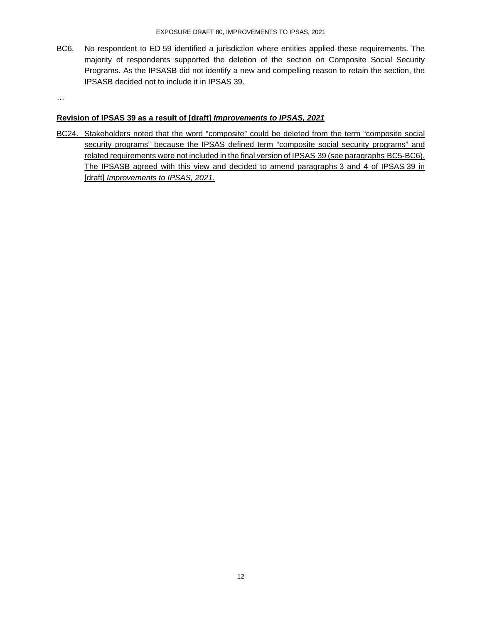BC6. No respondent to ED 59 identified a jurisdiction where entities applied these requirements. The majority of respondents supported the deletion of the section on Composite Social Security Programs. As the IPSASB did not identify a new and compelling reason to retain the section, the IPSASB decided not to include it in IPSAS 39.

…

#### **Revision of IPSAS 39 as a result of [draft]** *Improvements to IPSAS, 2021*

BC24. Stakeholders noted that the word "composite" could be deleted from the term "composite social security programs" because the IPSAS defined term "composite social security programs" and related requirements were not included in the final version of IPSAS 39 (see paragraphs BC5-BC6). The IPSASB agreed with this view and decided to amend paragraphs 3 and 4 of IPSAS 39 in [draft] *Improvements to IPSAS, 2021*.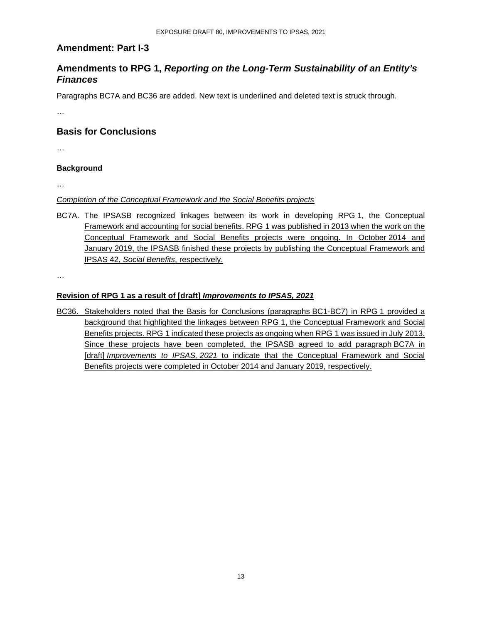### <span id="page-12-0"></span>**Amendment: Part I-3**

# **Amendments to RPG 1,** *Reporting on the Long-Term Sustainability of an Entity's Finances*

Paragraphs BC7A and BC36 are added. New text is underlined and deleted text is struck through.

…

### **Basis for Conclusions**

…

#### **Background**

…

#### *Completion of the Conceptual Framework and the Social Benefits projects*

BC7A. The IPSASB recognized linkages between its work in developing RPG 1, the Conceptual Framework and accounting for social benefits. RPG 1 was published in 2013 when the work on the Conceptual Framework and Social Benefits projects were ongoing. In October 2014 and January 2019, the IPSASB finished these projects by publishing the Conceptual Framework and IPSAS 42, *Social Benefits*, respectively.

…

#### **Revision of RPG 1 as a result of [draft]** *Improvements to IPSAS, 2021*

BC36. Stakeholders noted that the Basis for Conclusions (paragraphs BC1-BC7) in RPG 1 provided a background that highlighted the linkages between RPG 1, the Conceptual Framework and Social Benefits projects. RPG 1 indicated these projects as ongoing when RPG 1 was issued in July 2013. Since these projects have been completed, the IPSASB agreed to add paragraph BC7A in [draft] *Improvements to IPSAS, 2021* to indicate that the Conceptual Framework and Social Benefits projects were completed in October 2014 and January 2019, respectively.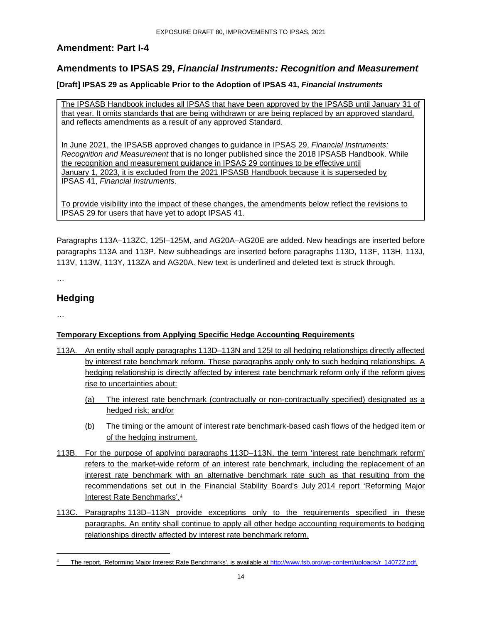# <span id="page-13-0"></span>**Amendment: Part I-4**

# **Amendments to IPSAS 29,** *Financial Instruments: Recognition and Measurement*

### **[Draft] IPSAS 29 as Applicable Prior to the Adoption of IPSAS 41,** *Financial Instruments*

The IPSASB Handbook includes all IPSAS that have been approved by the IPSASB until January 31 of that year. It omits standards that are being withdrawn or are being replaced by an approved standard, and reflects amendments as a result of any approved Standard.

In June 2021, the IPSASB approved changes to guidance in IPSAS 29, *Financial Instruments: Recognition and Measurement* that is no longer published since the 2018 IPSASB Handbook. While the recognition and measurement guidance in IPSAS 29 continues to be effective until January 1, 2023, it is excluded from the 2021 IPSASB Handbook because it is superseded by IPSAS 41, *Financial Instruments*.

To provide visibility into the impact of these changes, the amendments below reflect the revisions to IPSAS 29 for users that have yet to adopt IPSAS 41.

Paragraphs 113A–113ZC, 125I–125M, and AG20A–AG20E are added. New headings are inserted before paragraphs 113A and 113P. New subheadings are inserted before paragraphs 113D, 113F, 113H, 113J, 113V, 113W, 113Y, 113ZA and AG20A. New text is underlined and deleted text is struck through.

…

# **Hedging**

…

# **Temporary Exceptions from Applying Specific Hedge Accounting Requirements**

- 113A. An entity shall apply paragraphs 113D–113N and 125I to all hedging relationships directly affected by interest rate benchmark reform. These paragraphs apply only to such hedging relationships. A hedging relationship is directly affected by interest rate benchmark reform only if the reform gives rise to uncertainties about:
	- (a) The interest rate benchmark (contractually or non-contractually specified) designated as a hedged risk; and/or
	- (b) The timing or the amount of interest rate benchmark-based cash flows of the hedged item or of the hedging instrument.
- 113B. For the purpose of applying paragraphs 113D–113N, the term 'interest rate benchmark reform' refers to the market-wide reform of an interest rate benchmark, including the replacement of an interest rate benchmark with an alternative benchmark rate such as that resulting from the recommendations set out in the Financial Stability Board's July 2014 report 'Reforming Major Interest Rate Benchmarks'.[4](#page-13-1)
- 113C. Paragraphs 113D–113N provide exceptions only to the requirements specified in these paragraphs. An entity shall continue to apply all other hedge accounting requirements to hedging relationships directly affected by interest rate benchmark reform.

<span id="page-13-1"></span><sup>4</sup> The report, 'Reforming Major Interest Rate Benchmarks', is available a[t http://www.fsb.org/wp-content/uploads/r\\_140722.pdf.](http://www.fsb.org/wp-content/uploads/r_140722.pdf)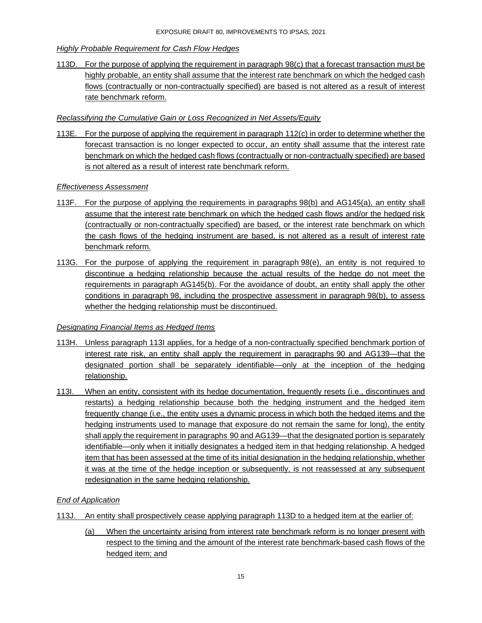#### *Highly Probable Requirement for Cash Flow Hedges*

113D. For the purpose of applying the requirement in paragraph 98(c) that a forecast transaction must be highly probable, an entity shall assume that the interest rate benchmark on which the hedged cash flows (contractually or non-contractually specified) are based is not altered as a result of interest rate benchmark reform.

#### *Reclassifying the Cumulative Gain or Loss Recognized in Net Assets/Equity*

113E. For the purpose of applying the requirement in paragraph 112(c) in order to determine whether the forecast transaction is no longer expected to occur, an entity shall assume that the interest rate benchmark on which the hedged cash flows (contractually or non-contractually specified) are based is not altered as a result of interest rate benchmark reform.

#### *Effectiveness Assessment*

- 113F. For the purpose of applying the requirements in paragraphs 98(b) and AG145(a), an entity shall assume that the interest rate benchmark on which the hedged cash flows and/or the hedged risk (contractually or non-contractually specified) are based, or the interest rate benchmark on which the cash flows of the hedging instrument are based, is not altered as a result of interest rate benchmark reform.
- 113G. For the purpose of applying the requirement in paragraph 98(e), an entity is not required to discontinue a hedging relationship because the actual results of the hedge do not meet the requirements in paragraph AG145(b). For the avoidance of doubt, an entity shall apply the other conditions in paragraph 98, including the prospective assessment in paragraph 98(b), to assess whether the hedging relationship must be discontinued.

#### *Designating Financial Items as Hedged Items*

- 113H. Unless paragraph 113I applies, for a hedge of a non-contractually specified benchmark portion of interest rate risk, an entity shall apply the requirement in paragraphs 90 and AG139—that the designated portion shall be separately identifiable—only at the inception of the hedging relationship.
- 113I. When an entity, consistent with its hedge documentation, frequently resets (i.e., discontinues and restarts) a hedging relationship because both the hedging instrument and the hedged item frequently change (i.e., the entity uses a dynamic process in which both the hedged items and the hedging instruments used to manage that exposure do not remain the same for long), the entity shall apply the requirement in paragraphs 90 and AG139—that the designated portion is separately identifiable—only when it initially designates a hedged item in that hedging relationship. A hedged item that has been assessed at the time of its initial designation in the hedging relationship, whether it was at the time of the hedge inception or subsequently, is not reassessed at any subsequent redesignation in the same hedging relationship.

#### *End of Application*

- 113J. An entity shall prospectively cease applying paragraph 113D to a hedged item at the earlier of:
	- (a) When the uncertainty arising from interest rate benchmark reform is no longer present with respect to the timing and the amount of the interest rate benchmark-based cash flows of the hedged item; and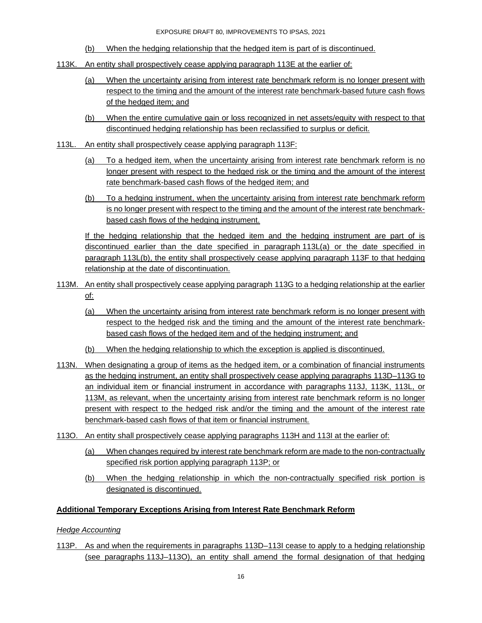EXPOSURE DRAFT 80, IMPROVEMENTS TO IPSAS, 2021

- (b) When the hedging relationship that the hedged item is part of is discontinued.
- 113K. An entity shall prospectively cease applying paragraph 113E at the earlier of:
	- (a) When the uncertainty arising from interest rate benchmark reform is no longer present with respect to the timing and the amount of the interest rate benchmark-based future cash flows of the hedged item; and
	- (b) When the entire cumulative gain or loss recognized in net assets/equity with respect to that discontinued hedging relationship has been reclassified to surplus or deficit.
- 113L. An entity shall prospectively cease applying paragraph 113F:
	- (a) To a hedged item, when the uncertainty arising from interest rate benchmark reform is no longer present with respect to the hedged risk or the timing and the amount of the interest rate benchmark-based cash flows of the hedged item; and
	- (b) To a hedging instrument, when the uncertainty arising from interest rate benchmark reform is no longer present with respect to the timing and the amount of the interest rate benchmarkbased cash flows of the hedging instrument.

If the hedging relationship that the hedged item and the hedging instrument are part of is discontinued earlier than the date specified in paragraph 113L(a) or the date specified in paragraph 113L(b), the entity shall prospectively cease applying paragraph 113F to that hedging relationship at the date of discontinuation.

- 113M. An entity shall prospectively cease applying paragraph 113G to a hedging relationship at the earlier of:
	- (a) When the uncertainty arising from interest rate benchmark reform is no longer present with respect to the hedged risk and the timing and the amount of the interest rate benchmarkbased cash flows of the hedged item and of the hedging instrument; and
	- (b) When the hedging relationship to which the exception is applied is discontinued.
- 113N. When designating a group of items as the hedged item, or a combination of financial instruments as the hedging instrument, an entity shall prospectively cease applying paragraphs 113D–113G to an individual item or financial instrument in accordance with paragraphs 113J, 113K, 113L, or 113M, as relevant, when the uncertainty arising from interest rate benchmark reform is no longer present with respect to the hedged risk and/or the timing and the amount of the interest rate benchmark-based cash flows of that item or financial instrument.
- 113O. An entity shall prospectively cease applying paragraphs 113H and 113I at the earlier of:
	- (a) When changes required by interest rate benchmark reform are made to the non-contractually specified risk portion applying paragraph 113P; or
	- (b) When the hedging relationship in which the non-contractually specified risk portion is designated is discontinued.

### **Additional Temporary Exceptions Arising from Interest Rate Benchmark Reform**

### *Hedge Accounting*

113P. As and when the requirements in paragraphs 113D–113I cease to apply to a hedging relationship (see paragraphs 113J–113O), an entity shall amend the formal designation of that hedging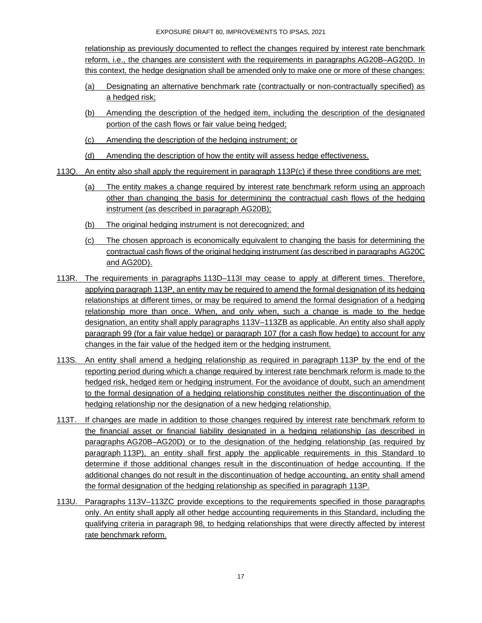relationship as previously documented to reflect the changes required by interest rate benchmark reform, i.e., the changes are consistent with the requirements in paragraphs AG20B–AG20D. In this context, the hedge designation shall be amended only to make one or more of these changes:

- (a) Designating an alternative benchmark rate (contractually or non-contractually specified) as a hedged risk;
- (b) Amending the description of the hedged item, including the description of the designated portion of the cash flows or fair value being hedged;
- (c) Amending the description of the hedging instrument; or
- (d) Amending the description of how the entity will assess hedge effectiveness.
- 113Q. An entity also shall apply the requirement in paragraph 113P(c) if these three conditions are met:
	- (a) The entity makes a change required by interest rate benchmark reform using an approach other than changing the basis for determining the contractual cash flows of the hedging instrument (as described in paragraph AG20B);
	- (b) The original hedging instrument is not derecognized; and
	- (c) The chosen approach is economically equivalent to changing the basis for determining the contractual cash flows of the original hedging instrument (as described in paragraphs AG20C and AG20D).
- 113R. The requirements in paragraphs 113D–113I may cease to apply at different times. Therefore, applying paragraph 113P, an entity may be required to amend the formal designation of its hedging relationships at different times, or may be required to amend the formal designation of a hedging relationship more than once. When, and only when, such a change is made to the hedge designation, an entity shall apply paragraphs 113V–113ZB as applicable. An entity also shall apply paragraph 99 (for a fair value hedge) or paragraph 107 (for a cash flow hedge) to account for any changes in the fair value of the hedged item or the hedging instrument.
- 113S. An entity shall amend a hedging relationship as required in paragraph 113P by the end of the reporting period during which a change required by interest rate benchmark reform is made to the hedged risk, hedged item or hedging instrument. For the avoidance of doubt, such an amendment to the formal designation of a hedging relationship constitutes neither the discontinuation of the hedging relationship nor the designation of a new hedging relationship.
- 113T. If changes are made in addition to those changes required by interest rate benchmark reform to the financial asset or financial liability designated in a hedging relationship (as described in paragraphs AG20B–AG20D) or to the designation of the hedging relationship (as required by paragraph 113P), an entity shall first apply the applicable requirements in this Standard to determine if those additional changes result in the discontinuation of hedge accounting. If the additional changes do not result in the discontinuation of hedge accounting, an entity shall amend the formal designation of the hedging relationship as specified in paragraph 113P.
- 113U. Paragraphs 113V–113ZC provide exceptions to the requirements specified in those paragraphs only. An entity shall apply all other hedge accounting requirements in this Standard, including the qualifying criteria in paragraph 98, to hedging relationships that were directly affected by interest rate benchmark reform.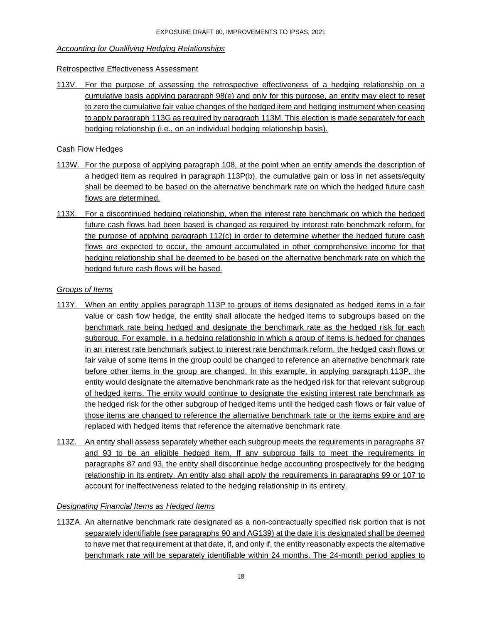#### *Accounting for Qualifying Hedging Relationships*

#### Retrospective Effectiveness Assessment

113V. For the purpose of assessing the retrospective effectiveness of a hedging relationship on a cumulative basis applying paragraph 98(e) and only for this purpose, an entity may elect to reset to zero the cumulative fair value changes of the hedged item and hedging instrument when ceasing to apply paragraph 113G as required by paragraph 113M. This election is made separately for each hedging relationship (i.e., on an individual hedging relationship basis).

#### Cash Flow Hedges

- 113W. For the purpose of applying paragraph 108, at the point when an entity amends the description of a hedged item as required in paragraph 113P(b), the cumulative gain or loss in net assets/equity shall be deemed to be based on the alternative benchmark rate on which the hedged future cash flows are determined.
- 113X. For a discontinued hedging relationship, when the interest rate benchmark on which the hedged future cash flows had been based is changed as required by interest rate benchmark reform, for the purpose of applying paragraph 112(c) in order to determine whether the hedged future cash flows are expected to occur, the amount accumulated in other comprehensive income for that hedging relationship shall be deemed to be based on the alternative benchmark rate on which the hedged future cash flows will be based.

#### *Groups of Items*

- 113Y. When an entity applies paragraph 113P to groups of items designated as hedged items in a fair value or cash flow hedge, the entity shall allocate the hedged items to subgroups based on the benchmark rate being hedged and designate the benchmark rate as the hedged risk for each subgroup. For example, in a hedging relationship in which a group of items is hedged for changes in an interest rate benchmark subject to interest rate benchmark reform, the hedged cash flows or fair value of some items in the group could be changed to reference an alternative benchmark rate before other items in the group are changed. In this example, in applying paragraph 113P, the entity would designate the alternative benchmark rate as the hedged risk for that relevant subgroup of hedged items. The entity would continue to designate the existing interest rate benchmark as the hedged risk for the other subgroup of hedged items until the hedged cash flows or fair value of those items are changed to reference the alternative benchmark rate or the items expire and are replaced with hedged items that reference the alternative benchmark rate.
- 113Z. An entity shall assess separately whether each subgroup meets the requirements in paragraphs 87 and 93 to be an eligible hedged item. If any subgroup fails to meet the requirements in paragraphs 87 and 93, the entity shall discontinue hedge accounting prospectively for the hedging relationship in its entirety. An entity also shall apply the requirements in paragraphs 99 or 107 to account for ineffectiveness related to the hedging relationship in its entirety.

#### *Designating Financial Items as Hedged Items*

113ZA. An alternative benchmark rate designated as a non-contractually specified risk portion that is not separately identifiable (see paragraphs 90 and AG139) at the date it is designated shall be deemed to have met that requirement at that date, if, and only if, the entity reasonably expects the alternative benchmark rate will be separately identifiable within 24 months. The 24-month period applies to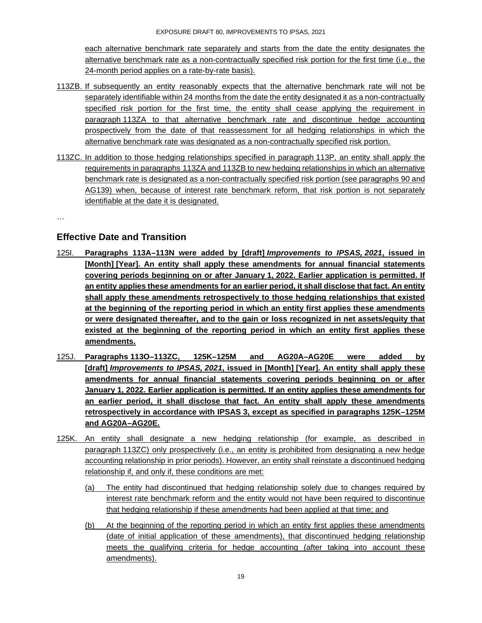each alternative benchmark rate separately and starts from the date the entity designates the alternative benchmark rate as a non-contractually specified risk portion for the first time (i.e., the 24-month period applies on a rate-by-rate basis).

- 113ZB. If subsequently an entity reasonably expects that the alternative benchmark rate will not be separately identifiable within 24 months from the date the entity designated it as a non-contractually specified risk portion for the first time, the entity shall cease applying the requirement in paragraph 113ZA to that alternative benchmark rate and discontinue hedge accounting prospectively from the date of that reassessment for all hedging relationships in which the alternative benchmark rate was designated as a non-contractually specified risk portion.
- 113ZC. In addition to those hedging relationships specified in paragraph 113P, an entity shall apply the requirements in paragraphs 113ZA and 113ZB to new hedging relationships in which an alternative benchmark rate is designated as a non-contractually specified risk portion (see paragraphs 90 and AG139) when, because of interest rate benchmark reform, that risk portion is not separately identifiable at the date it is designated.

…

# **Effective Date and Transition**

- 125I. **Paragraphs 113A–113N were added by [draft]** *Improvements to IPSAS, 2021***, issued in [Month] [Year]. An entity shall apply these amendments for annual financial statements covering periods beginning on or after January 1, 2022. Earlier application is permitted. If an entity applies these amendments for an earlier period, it shall disclose that fact. An entity shall apply these amendments retrospectively to those hedging relationships that existed at the beginning of the reporting period in which an entity first applies these amendments or were designated thereafter, and to the gain or loss recognized in net assets/equity that existed at the beginning of the reporting period in which an entity first applies these amendments.**
- 125J. **Paragraphs 113O–113ZC, 125K–125M and AG20A–AG20E were added by [draft]** *Improvements to IPSAS, 2021***, issued in [Month] [Year]. An entity shall apply these amendments for annual financial statements covering periods beginning on or after January 1, 2022. Earlier application is permitted. If an entity applies these amendments for an earlier period, it shall disclose that fact. An entity shall apply these amendments retrospectively in accordance with IPSAS 3, except as specified in paragraphs 125K–125M and AG20A–AG20E.**
- 125K. An entity shall designate a new hedging relationship (for example, as described in paragraph 113ZC) only prospectively (i.e., an entity is prohibited from designating a new hedge accounting relationship in prior periods). However, an entity shall reinstate a discontinued hedging relationship if, and only if, these conditions are met:
	- (a) The entity had discontinued that hedging relationship solely due to changes required by interest rate benchmark reform and the entity would not have been required to discontinue that hedging relationship if these amendments had been applied at that time; and
	- (b) At the beginning of the reporting period in which an entity first applies these amendments (date of initial application of these amendments), that discontinued hedging relationship meets the qualifying criteria for hedge accounting (after taking into account these amendments).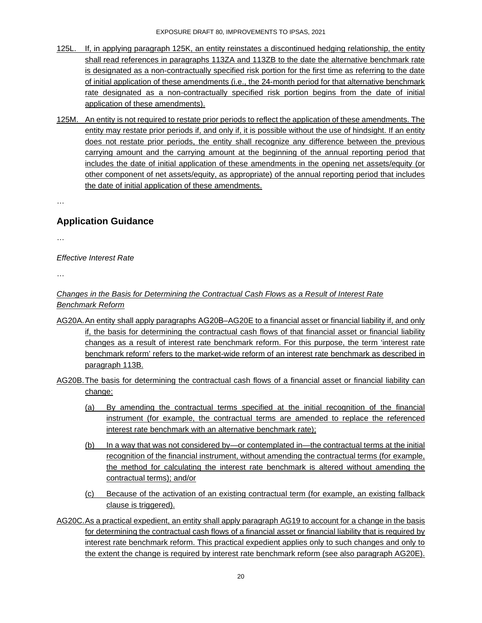- 125L. If, in applying paragraph 125K, an entity reinstates a discontinued hedging relationship, the entity shall read references in paragraphs 113ZA and 113ZB to the date the alternative benchmark rate is designated as a non-contractually specified risk portion for the first time as referring to the date of initial application of these amendments (i.e., the 24-month period for that alternative benchmark rate designated as a non-contractually specified risk portion begins from the date of initial application of these amendments).
- 125M. An entity is not required to restate prior periods to reflect the application of these amendments. The entity may restate prior periods if, and only if, it is possible without the use of hindsight. If an entity does not restate prior periods, the entity shall recognize any difference between the previous carrying amount and the carrying amount at the beginning of the annual reporting period that includes the date of initial application of these amendments in the opening net assets/equity (or other component of net assets/equity, as appropriate) of the annual reporting period that includes the date of initial application of these amendments.

…

# **Application Guidance**

…

*Effective Interest Rate*

…

### *Changes in the Basis for Determining the Contractual Cash Flows as a Result of Interest Rate Benchmark Reform*

AG20A. An entity shall apply paragraphs AG20B–AG20E to a financial asset or financial liability if, and only if, the basis for determining the contractual cash flows of that financial asset or financial liability changes as a result of interest rate benchmark reform. For this purpose, the term 'interest rate benchmark reform' refers to the market-wide reform of an interest rate benchmark as described in paragraph 113B.

AG20B. The basis for determining the contractual cash flows of a financial asset or financial liability can change:

- (a) By amending the contractual terms specified at the initial recognition of the financial instrument (for example, the contractual terms are amended to replace the referenced interest rate benchmark with an alternative benchmark rate);
- (b) In a way that was not considered by—or contemplated in—the contractual terms at the initial recognition of the financial instrument, without amending the contractual terms (for example, the method for calculating the interest rate benchmark is altered without amending the contractual terms); and/or
- (c) Because of the activation of an existing contractual term (for example, an existing fallback clause is triggered).
- AG20C.As a practical expedient, an entity shall apply paragraph AG19 to account for a change in the basis for determining the contractual cash flows of a financial asset or financial liability that is required by interest rate benchmark reform. This practical expedient applies only to such changes and only to the extent the change is required by interest rate benchmark reform (see also paragraph AG20E).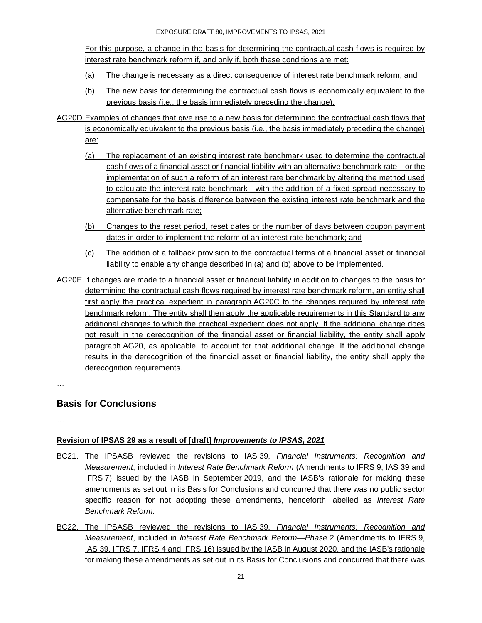For this purpose, a change in the basis for determining the contractual cash flows is required by interest rate benchmark reform if, and only if, both these conditions are met:

- (a) The change is necessary as a direct consequence of interest rate benchmark reform; and
- (b) The new basis for determining the contractual cash flows is economically equivalent to the previous basis (i.e., the basis immediately preceding the change).
- AG20D.Examples of changes that give rise to a new basis for determining the contractual cash flows that is economically equivalent to the previous basis (i.e., the basis immediately preceding the change) are:
	- (a) The replacement of an existing interest rate benchmark used to determine the contractual cash flows of a financial asset or financial liability with an alternative benchmark rate—or the implementation of such a reform of an interest rate benchmark by altering the method used to calculate the interest rate benchmark—with the addition of a fixed spread necessary to compensate for the basis difference between the existing interest rate benchmark and the alternative benchmark rate;
	- (b) Changes to the reset period, reset dates or the number of days between coupon payment dates in order to implement the reform of an interest rate benchmark; and
	- (c) The addition of a fallback provision to the contractual terms of a financial asset or financial liability to enable any change described in (a) and (b) above to be implemented.
- AG20E.If changes are made to a financial asset or financial liability in addition to changes to the basis for determining the contractual cash flows required by interest rate benchmark reform, an entity shall first apply the practical expedient in paragraph AG20C to the changes required by interest rate benchmark reform. The entity shall then apply the applicable requirements in this Standard to any additional changes to which the practical expedient does not apply. If the additional change does not result in the derecognition of the financial asset or financial liability, the entity shall apply paragraph AG20, as applicable, to account for that additional change. If the additional change results in the derecognition of the financial asset or financial liability, the entity shall apply the derecognition requirements.

…

# **Basis for Conclusions**

…

# **Revision of IPSAS 29 as a result of [draft]** *Improvements to IPSAS, 2021*

- BC21. The IPSASB reviewed the revisions to IAS 39, *Financial Instruments: Recognition and Measurement*, included in *Interest Rate Benchmark Reform* (Amendments to IFRS 9, IAS 39 and IFRS 7) issued by the IASB in September 2019, and the IASB's rationale for making these amendments as set out in its Basis for Conclusions and concurred that there was no public sector specific reason for not adopting these amendments, henceforth labelled as *Interest Rate Benchmark Reform*.
- BC22. The IPSASB reviewed the revisions to IAS 39, *Financial Instruments: Recognition and Measurement*, included in *Interest Rate Benchmark Reform—Phase 2* (Amendments to IFRS 9, IAS 39, IFRS 7, IFRS 4 and IFRS 16) issued by the IASB in August 2020, and the IASB's rationale for making these amendments as set out in its Basis for Conclusions and concurred that there was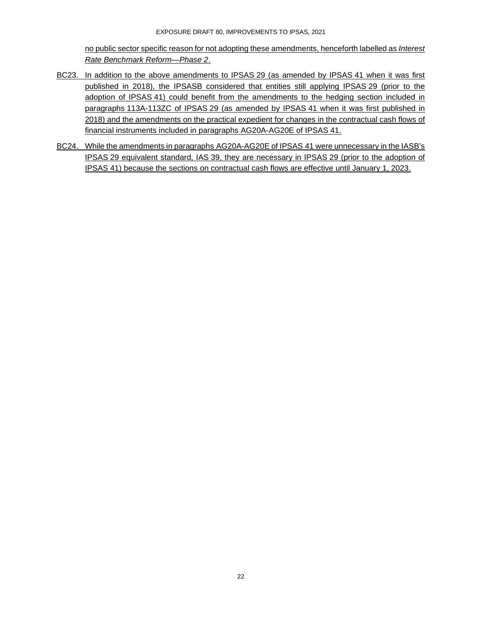no public sector specific reason for not adopting these amendments, henceforth labelled as *Interest Rate Benchmark Reform—Phase 2*.

- BC23. In addition to the above amendments to IPSAS 29 (as amended by IPSAS 41 when it was first published in 2018), the IPSASB considered that entities still applying IPSAS 29 (prior to the adoption of IPSAS 41) could benefit from the amendments to the hedging section included in paragraphs 113A-113ZC of IPSAS 29 (as amended by IPSAS 41 when it was first published in 2018) and the amendments on the practical expedient for changes in the contractual cash flows of financial instruments included in paragraphs AG20A-AG20E of IPSAS 41.
- BC24. While the amendments in paragraphs AG20A-AG20E of IPSAS 41 were unnecessary in the IASB's IPSAS 29 equivalent standard, IAS 39, they are necessary in IPSAS 29 (prior to the adoption of IPSAS 41) because the sections on contractual cash flows are effective until January 1, 2023.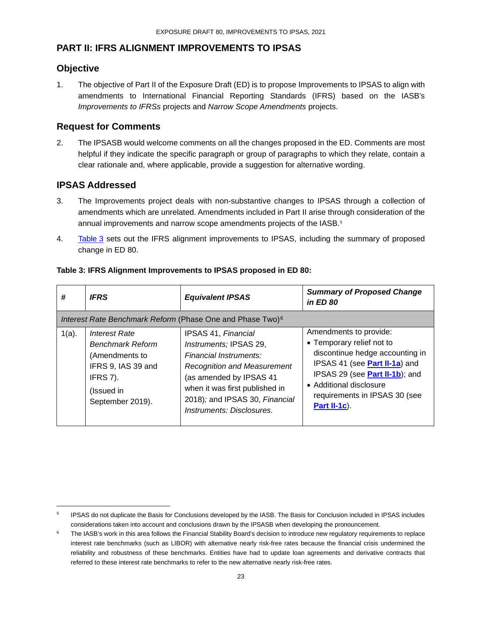# <span id="page-22-0"></span>**PART II: IFRS ALIGNMENT IMPROVEMENTS TO IPSAS**

# **Objective**

1. The objective of Part II of the Exposure Draft (ED) is to propose Improvements to IPSAS to align with amendments to International Financial Reporting Standards (IFRS) based on the IASB's *Improvements to IFRSs* projects and *Narrow Scope Amendments* projects.

# **Request for Comments**

2. The IPSASB would welcome comments on all the changes proposed in the ED. Comments are most helpful if they indicate the specific paragraph or group of paragraphs to which they relate, contain a clear rationale and, where applicable, provide a suggestion for alternative wording.

# **IPSAS Addressed**

- 3. The Improvements project deals with non-substantive changes to IPSAS through a collection of amendments which are unrelated. Amendments included in Part II arise through consideration of the annual improvements and narrow scope amendments projects of the IASB.<sup>[5](#page-22-2)</sup>
- 4. [Table](#page-22-1) 3 sets out the IFRS alignment improvements to IPSAS, including the summary of proposed change in ED 80.

| #        | <b>IFRS</b>                                                                                                                           | <b>Equivalent IPSAS</b>                                                                                                                                                                                                                   | <b>Summary of Proposed Change</b><br>in ED 80                                                                                                                                                                                                         |  |
|----------|---------------------------------------------------------------------------------------------------------------------------------------|-------------------------------------------------------------------------------------------------------------------------------------------------------------------------------------------------------------------------------------------|-------------------------------------------------------------------------------------------------------------------------------------------------------------------------------------------------------------------------------------------------------|--|
|          | Interest Rate Benchmark Reform (Phase One and Phase Two) <sup>6</sup>                                                                 |                                                                                                                                                                                                                                           |                                                                                                                                                                                                                                                       |  |
| $1(a)$ . | <b>Interest Rate</b><br><b>Benchmark Reform</b><br>(Amendments to<br>IFRS 9, IAS 39 and<br>IFRS 7).<br>(Issued in<br>September 2019). | IPSAS 41, Financial<br>Instruments; IPSAS 29,<br>Financial Instruments:<br><b>Recognition and Measurement</b><br>(as amended by IPSAS 41<br>when it was first published in<br>2018); and IPSAS 30, Financial<br>Instruments: Disclosures. | Amendments to provide:<br>• Temporary relief not to<br>discontinue hedge accounting in<br>IPSAS 41 (see <b>Part II-1a</b> ) and<br>IPSAS 29 (see <b>Part II-1b</b> ); and<br>• Additional disclosure<br>requirements in IPSAS 30 (see<br>Part II-1c). |  |

#### <span id="page-22-1"></span>**Table 3: IFRS Alignment Improvements to IPSAS proposed in ED 80:**

<span id="page-22-2"></span><sup>&</sup>lt;sup>5</sup> IPSAS do not duplicate the Basis for Conclusions developed by the IASB. The Basis for Conclusion included in IPSAS includes considerations taken into account and conclusions drawn by the IPSASB when developing the pronouncement.

<span id="page-22-3"></span><sup>&</sup>lt;sup>6</sup> The IASB's work in this area follows the Financial Stability Board's decision to introduce new regulatory requirements to replace interest rate benchmarks (such as LIBOR) with alternative nearly risk-free rates because the financial crisis undermined the reliability and robustness of these benchmarks. Entities have had to update loan agreements and derivative contracts that referred to these interest rate benchmarks to refer to the new alternative nearly risk-free rates.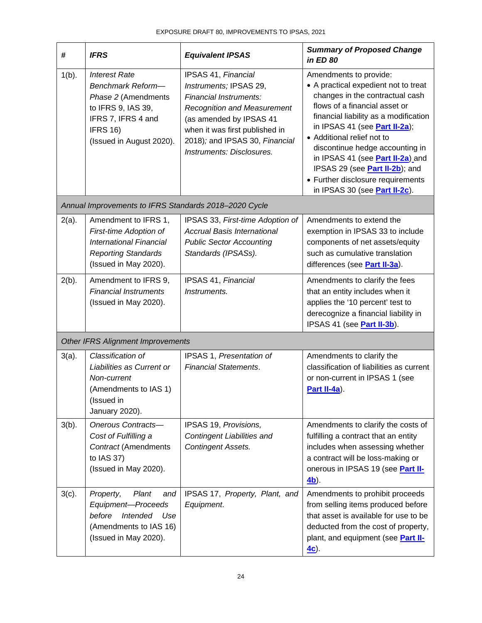| #        | <b>IFRS</b>                                                                                                                                                 | <b>Equivalent IPSAS</b>                                                                                                                                                                                                                   | <b>Summary of Proposed Change</b><br>in ED 80                                                                                                                                                                                                                                                                                                                                                                                            |
|----------|-------------------------------------------------------------------------------------------------------------------------------------------------------------|-------------------------------------------------------------------------------------------------------------------------------------------------------------------------------------------------------------------------------------------|------------------------------------------------------------------------------------------------------------------------------------------------------------------------------------------------------------------------------------------------------------------------------------------------------------------------------------------------------------------------------------------------------------------------------------------|
| $1(b)$ . | <b>Interest Rate</b><br>Benchmark Reform-<br>Phase 2 (Amendments<br>to IFRS 9, IAS 39,<br>IFRS 7, IFRS 4 and<br><b>IFRS 16)</b><br>(Issued in August 2020). | IPSAS 41, Financial<br>Instruments; IPSAS 29,<br>Financial Instruments:<br><b>Recognition and Measurement</b><br>(as amended by IPSAS 41<br>when it was first published in<br>2018); and IPSAS 30, Financial<br>Instruments: Disclosures. | Amendments to provide:<br>• A practical expedient not to treat<br>changes in the contractual cash<br>flows of a financial asset or<br>financial liability as a modification<br>in IPSAS 41 (see Part II-2a);<br>• Additional relief not to<br>discontinue hedge accounting in<br>in IPSAS 41 (see <b>Part II-2a)</b> and<br>IPSAS 29 (see <b>Part II-2b</b> ); and<br>• Further disclosure requirements<br>in IPSAS 30 (see Part II-2c). |
|          | Annual Improvements to IFRS Standards 2018-2020 Cycle                                                                                                       |                                                                                                                                                                                                                                           |                                                                                                                                                                                                                                                                                                                                                                                                                                          |
| $2(a)$ . | Amendment to IFRS 1,<br>First-time Adoption of<br><b>International Financial</b><br><b>Reporting Standards</b><br>(Issued in May 2020).                     | IPSAS 33, First-time Adoption of<br><b>Accrual Basis International</b><br><b>Public Sector Accounting</b><br>Standards (IPSASs).                                                                                                          | Amendments to extend the<br>exemption in IPSAS 33 to include<br>components of net assets/equity<br>such as cumulative translation<br>differences (see Part II-3a).                                                                                                                                                                                                                                                                       |
| $2(b)$ . | Amendment to IFRS 9,<br><b>Financial Instruments</b><br>(Issued in May 2020).                                                                               | IPSAS 41, Financial<br>Instruments.                                                                                                                                                                                                       | Amendments to clarify the fees<br>that an entity includes when it<br>applies the '10 percent' test to<br>derecognize a financial liability in<br>IPSAS 41 (see Part II-3b).                                                                                                                                                                                                                                                              |
|          | <b>Other IFRS Alignment Improvements</b>                                                                                                                    |                                                                                                                                                                                                                                           |                                                                                                                                                                                                                                                                                                                                                                                                                                          |
| $3(a)$ . | Classification of<br>Liabilities as Current or<br>Non-current<br>(Amendments to IAS 1)<br>(Issued in<br>January 2020).                                      | IPSAS 1, Presentation of<br><b>Financial Statements.</b>                                                                                                                                                                                  | Amendments to clarify the<br>classification of liabilities as current<br>or non-current in IPSAS 1 (see<br>Part II-4a).                                                                                                                                                                                                                                                                                                                  |
| $3(b)$ . | Onerous Contracts-<br>Cost of Fulfilling a<br><b>Contract (Amendments</b><br>to IAS 37)<br>(Issued in May 2020).                                            | IPSAS 19, Provisions,<br><b>Contingent Liabilities and</b><br><b>Contingent Assets.</b>                                                                                                                                                   | Amendments to clarify the costs of<br>fulfilling a contract that an entity<br>includes when assessing whether<br>a contract will be loss-making or<br>onerous in IPSAS 19 (see Part II-<br>$\overline{4b}$ .                                                                                                                                                                                                                             |
| $3(c)$ . | Property,<br>Plant<br>and<br>Equipment-Proceeds<br>before<br>Intended<br>Use<br>(Amendments to IAS 16)<br>(Issued in May 2020).                             | IPSAS 17, Property, Plant, and<br>Equipment.                                                                                                                                                                                              | Amendments to prohibit proceeds<br>from selling items produced before<br>that asset is available for use to be<br>deducted from the cost of property,<br>plant, and equipment (see Part II-<br>$4c$ ).                                                                                                                                                                                                                                   |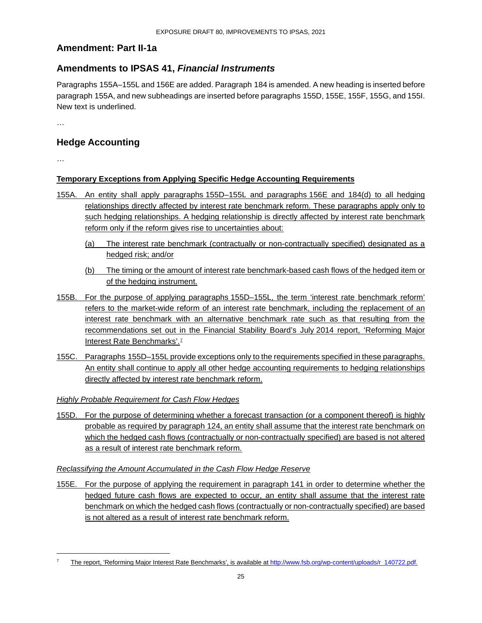# <span id="page-24-0"></span>**Amendment: Part II-1a**

# **Amendments to IPSAS 41,** *Financial Instruments*

Paragraphs 155A–155L and 156E are added. Paragraph 184 is amended. A new heading is inserted before paragraph 155A, and new subheadings are inserted before paragraphs 155D, 155E, 155F, 155G, and 155I. New text is underlined.

…

# **Hedge Accounting**

…

### **Temporary Exceptions from Applying Specific Hedge Accounting Requirements**

- 155A. An entity shall apply paragraphs 155D–155L and paragraphs 156E and 184(d) to all hedging relationships directly affected by interest rate benchmark reform. These paragraphs apply only to such hedging relationships. A hedging relationship is directly affected by interest rate benchmark reform only if the reform gives rise to uncertainties about:
	- (a) The interest rate benchmark (contractually or non-contractually specified) designated as a hedged risk; and/or
	- (b) The timing or the amount of interest rate benchmark-based cash flows of the hedged item or of the hedging instrument.
- 155B. For the purpose of applying paragraphs 155D–155L, the term 'interest rate benchmark reform' refers to the market-wide reform of an interest rate benchmark, including the replacement of an interest rate benchmark with an alternative benchmark rate such as that resulting from the recommendations set out in the Financial Stability Board's July 2014 report, 'Reforming Major Interest Rate Benchmarks'.<sup>2</sup>
- 155C. Paragraphs 155D–155L provide exceptions only to the requirements specified in these paragraphs. An entity shall continue to apply all other hedge accounting requirements to hedging relationships directly affected by interest rate benchmark reform.

### *Highly Probable Requirement for Cash Flow Hedges*

155D. For the purpose of determining whether a forecast transaction (or a component thereof) is highly probable as required by paragraph 124, an entity shall assume that the interest rate benchmark on which the hedged cash flows (contractually or non-contractually specified) are based is not altered as a result of interest rate benchmark reform.

### *Reclassifying the Amount Accumulated in the Cash Flow Hedge Reserve*

155E. For the purpose of applying the requirement in paragraph 141 in order to determine whether the hedged future cash flows are expected to occur, an entity shall assume that the interest rate benchmark on which the hedged cash flows (contractually or non-contractually specified) are based is not altered as a result of interest rate benchmark reform.

<span id="page-24-1"></span><sup>7</sup> The report, 'Reforming Major Interest Rate Benchmarks', is available a[t http://www.fsb.org/wp-content/uploads/r\\_140722.pdf.](http://www.fsb.org/wp-content/uploads/r_140722.pdf.)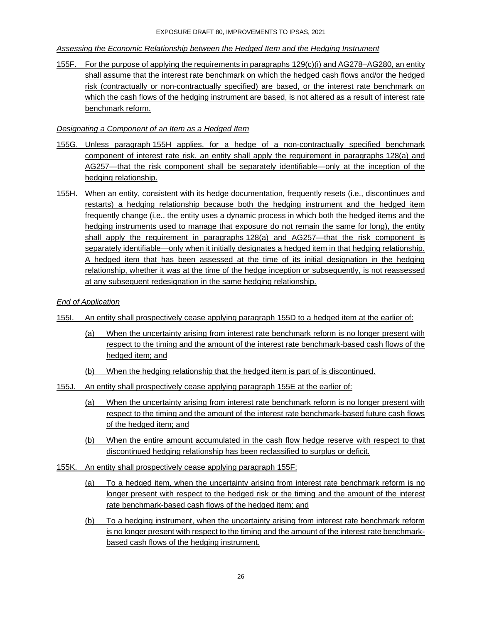#### *Assessing the Economic Relationship between the Hedged Item and the Hedging Instrument*

155F. For the purpose of applying the requirements in paragraphs 129(c)(i) and AG278–AG280, an entity shall assume that the interest rate benchmark on which the hedged cash flows and/or the hedged risk (contractually or non-contractually specified) are based, or the interest rate benchmark on which the cash flows of the hedging instrument are based, is not altered as a result of interest rate benchmark reform.

#### *Designating a Component of an Item as a Hedged Item*

- 155G. Unless paragraph 155H applies, for a hedge of a non-contractually specified benchmark component of interest rate risk, an entity shall apply the requirement in paragraphs 128(a) and AG257—that the risk component shall be separately identifiable—only at the inception of the hedging relationship.
- 155H. When an entity, consistent with its hedge documentation, frequently resets (i.e., discontinues and restarts) a hedging relationship because both the hedging instrument and the hedged item frequently change (i.e., the entity uses a dynamic process in which both the hedged items and the hedging instruments used to manage that exposure do not remain the same for long), the entity shall apply the requirement in paragraphs 128(a) and AG257—that the risk component is separately identifiable—only when it initially designates a hedged item in that hedging relationship. A hedged item that has been assessed at the time of its initial designation in the hedging relationship, whether it was at the time of the hedge inception or subsequently, is not reassessed at any subsequent redesignation in the same hedging relationship.

#### *End of Application*

- 155I. An entity shall prospectively cease applying paragraph 155D to a hedged item at the earlier of:
	- (a) When the uncertainty arising from interest rate benchmark reform is no longer present with respect to the timing and the amount of the interest rate benchmark-based cash flows of the hedged item; and
	- (b) When the hedging relationship that the hedged item is part of is discontinued.
- 155J. An entity shall prospectively cease applying paragraph 155E at the earlier of:
	- (a) When the uncertainty arising from interest rate benchmark reform is no longer present with respect to the timing and the amount of the interest rate benchmark-based future cash flows of the hedged item; and
	- (b) When the entire amount accumulated in the cash flow hedge reserve with respect to that discontinued hedging relationship has been reclassified to surplus or deficit.
- 155K. An entity shall prospectively cease applying paragraph 155F:
	- (a) To a hedged item, when the uncertainty arising from interest rate benchmark reform is no longer present with respect to the hedged risk or the timing and the amount of the interest rate benchmark-based cash flows of the hedged item; and
	- (b) To a hedging instrument, when the uncertainty arising from interest rate benchmark reform is no longer present with respect to the timing and the amount of the interest rate benchmarkbased cash flows of the hedging instrument.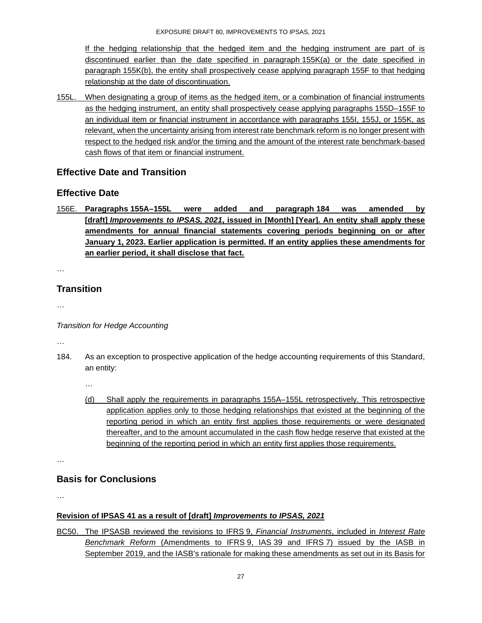If the hedging relationship that the hedged item and the hedging instrument are part of is discontinued earlier than the date specified in paragraph 155K(a) or the date specified in paragraph 155K(b), the entity shall prospectively cease applying paragraph 155F to that hedging relationship at the date of discontinuation.

155L. When designating a group of items as the hedged item, or a combination of financial instruments as the hedging instrument, an entity shall prospectively cease applying paragraphs 155D–155F to an individual item or financial instrument in accordance with paragraphs 155I, 155J, or 155K, as relevant, when the uncertainty arising from interest rate benchmark reform is no longer present with respect to the hedged risk and/or the timing and the amount of the interest rate benchmark-based cash flows of that item or financial instrument.

# **Effective Date and Transition**

# **Effective Date**

156E. **Paragraphs 155A–155L were added and paragraph 184 was amended by [draft]** *Improvements to IPSAS, 2021***, issued in [Month] [Year]. An entity shall apply these amendments for annual financial statements covering periods beginning on or after January 1, 2023. Earlier application is permitted. If an entity applies these amendments for an earlier period, it shall disclose that fact.**

…

# **Transition**

…

#### *Transition for Hedge Accounting*

…

184. As an exception to prospective application of the hedge accounting requirements of this Standard, an entity:

…

(d) Shall apply the requirements in paragraphs 155A–155L retrospectively. This retrospective application applies only to those hedging relationships that existed at the beginning of the reporting period in which an entity first applies those requirements or were designated thereafter, and to the amount accumulated in the cash flow hedge reserve that existed at the beginning of the reporting period in which an entity first applies those requirements.

…

# **Basis for Conclusions**

…

### **Revision of IPSAS 41 as a result of [draft]** *Improvements to IPSAS, 2021*

BC50. The IPSASB reviewed the revisions to IFRS 9, *Financial Instruments*, included in *Interest Rate Benchmark Reform* (Amendments to IFRS 9, IAS 39 and IFRS 7) issued by the IASB in September 2019, and the IASB's rationale for making these amendments as set out in its Basis for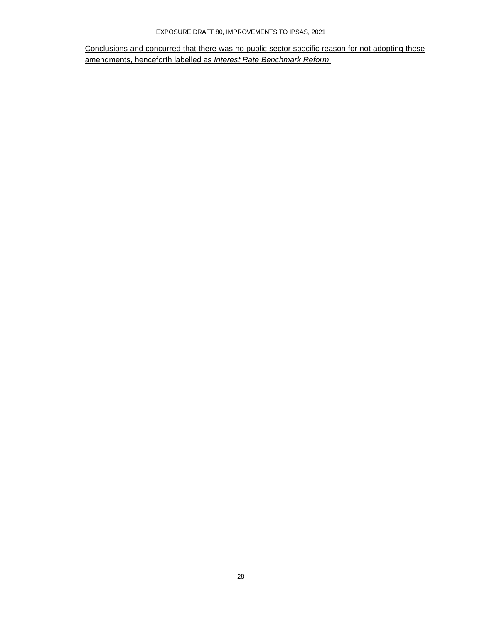#### EXPOSURE DRAFT 80, IMPROVEMENTS TO IPSAS, 2021

Conclusions and concurred that there was no public sector specific reason for not adopting these amendments, henceforth labelled as *Interest Rate Benchmark Reform*.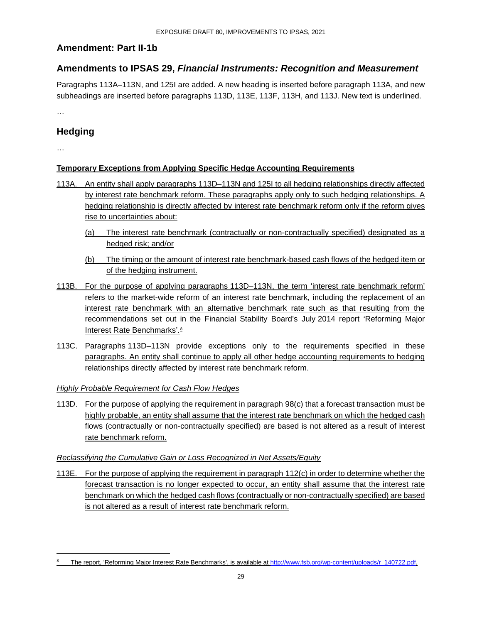# <span id="page-28-0"></span>**Amendment: Part II-1b**

# **Amendments to IPSAS 29,** *Financial Instruments: Recognition and Measurement*

Paragraphs 113A–113N, and 125I are added. A new heading is inserted before paragraph 113A, and new subheadings are inserted before paragraphs 113D, 113E, 113F, 113H, and 113J. New text is underlined.

…

# **Hedging**

…

### **Temporary Exceptions from Applying Specific Hedge Accounting Requirements**

- 113A. An entity shall apply paragraphs 113D–113N and 125I to all hedging relationships directly affected by interest rate benchmark reform. These paragraphs apply only to such hedging relationships. A hedging relationship is directly affected by interest rate benchmark reform only if the reform gives rise to uncertainties about:
	- (a) The interest rate benchmark (contractually or non-contractually specified) designated as a hedged risk; and/or
	- (b) The timing or the amount of interest rate benchmark-based cash flows of the hedged item or of the hedging instrument.
- 113B. For the purpose of applying paragraphs 113D–113N, the term 'interest rate benchmark reform' refers to the market-wide reform of an interest rate benchmark, including the replacement of an interest rate benchmark with an alternative benchmark rate such as that resulting from the recommendations set out in the Financial Stability Board's July 2014 report 'Reforming Major Interest Rate Benchmarks'.<sup>[8](#page-28-1)</sup>
- 113C. Paragraphs 113D–113N provide exceptions only to the requirements specified in these paragraphs. An entity shall continue to apply all other hedge accounting requirements to hedging relationships directly affected by interest rate benchmark reform.

### *Highly Probable Requirement for Cash Flow Hedges*

113D. For the purpose of applying the requirement in paragraph 98(c) that a forecast transaction must be highly probable, an entity shall assume that the interest rate benchmark on which the hedged cash flows (contractually or non-contractually specified) are based is not altered as a result of interest rate benchmark reform.

#### *Reclassifying the Cumulative Gain or Loss Recognized in Net Assets/Equity*

113E. For the purpose of applying the requirement in paragraph 112(c) in order to determine whether the forecast transaction is no longer expected to occur, an entity shall assume that the interest rate benchmark on which the hedged cash flows (contractually or non-contractually specified) are based is not altered as a result of interest rate benchmark reform.

<span id="page-28-1"></span><sup>8</sup> The report, 'Reforming Major Interest Rate Benchmarks', is available a[t http://www.fsb.org/wp-content/uploads/r\\_140722.pdf.](http://www.fsb.org/wp-content/uploads/r_140722.pdf)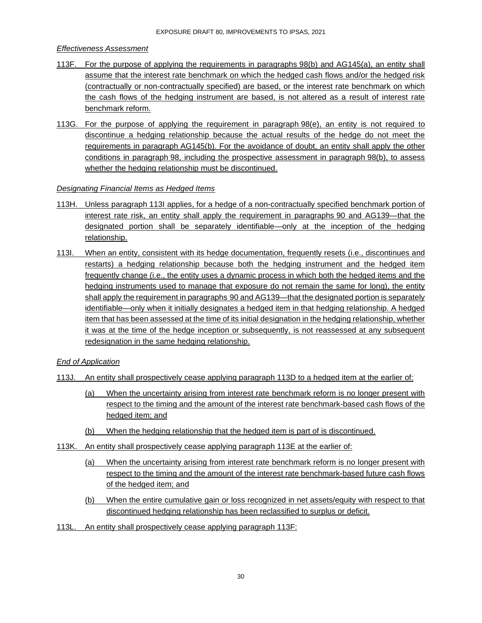#### *Effectiveness Assessment*

- 113F. For the purpose of applying the requirements in paragraphs 98(b) and AG145(a), an entity shall assume that the interest rate benchmark on which the hedged cash flows and/or the hedged risk (contractually or non-contractually specified) are based, or the interest rate benchmark on which the cash flows of the hedging instrument are based, is not altered as a result of interest rate benchmark reform.
- 113G. For the purpose of applying the requirement in paragraph 98(e), an entity is not required to discontinue a hedging relationship because the actual results of the hedge do not meet the requirements in paragraph AG145(b). For the avoidance of doubt, an entity shall apply the other conditions in paragraph 98, including the prospective assessment in paragraph 98(b), to assess whether the hedging relationship must be discontinued.

#### *Designating Financial Items as Hedged Items*

- 113H. Unless paragraph 113I applies, for a hedge of a non-contractually specified benchmark portion of interest rate risk, an entity shall apply the requirement in paragraphs 90 and AG139—that the designated portion shall be separately identifiable—only at the inception of the hedging relationship.
- 113I. When an entity, consistent with its hedge documentation, frequently resets (i.e., discontinues and restarts) a hedging relationship because both the hedging instrument and the hedged item frequently change (i.e., the entity uses a dynamic process in which both the hedged items and the hedging instruments used to manage that exposure do not remain the same for long), the entity shall apply the requirement in paragraphs 90 and AG139—that the designated portion is separately identifiable—only when it initially designates a hedged item in that hedging relationship. A hedged item that has been assessed at the time of its initial designation in the hedging relationship, whether it was at the time of the hedge inception or subsequently, is not reassessed at any subsequent redesignation in the same hedging relationship.

#### *End of Application*

- 113J. An entity shall prospectively cease applying paragraph 113D to a hedged item at the earlier of:
	- (a) When the uncertainty arising from interest rate benchmark reform is no longer present with respect to the timing and the amount of the interest rate benchmark-based cash flows of the hedged item; and
	- (b) When the hedging relationship that the hedged item is part of is discontinued.
- 113K. An entity shall prospectively cease applying paragraph 113E at the earlier of:
	- (a) When the uncertainty arising from interest rate benchmark reform is no longer present with respect to the timing and the amount of the interest rate benchmark-based future cash flows of the hedged item; and
	- (b) When the entire cumulative gain or loss recognized in net assets/equity with respect to that discontinued hedging relationship has been reclassified to surplus or deficit.
- 113L. An entity shall prospectively cease applying paragraph 113F: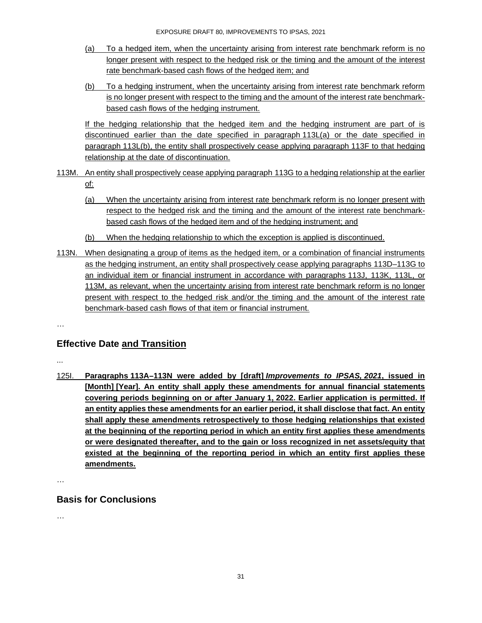- (a) To a hedged item, when the uncertainty arising from interest rate benchmark reform is no longer present with respect to the hedged risk or the timing and the amount of the interest rate benchmark-based cash flows of the hedged item; and
- (b) To a hedging instrument, when the uncertainty arising from interest rate benchmark reform is no longer present with respect to the timing and the amount of the interest rate benchmarkbased cash flows of the hedging instrument.

If the hedging relationship that the hedged item and the hedging instrument are part of is discontinued earlier than the date specified in paragraph 113L(a) or the date specified in paragraph 113L(b), the entity shall prospectively cease applying paragraph 113F to that hedging relationship at the date of discontinuation.

- 113M. An entity shall prospectively cease applying paragraph 113G to a hedging relationship at the earlier of:
	- (a) When the uncertainty arising from interest rate benchmark reform is no longer present with respect to the hedged risk and the timing and the amount of the interest rate benchmarkbased cash flows of the hedged item and of the hedging instrument; and
	- (b) When the hedging relationship to which the exception is applied is discontinued.
- 113N. When designating a group of items as the hedged item, or a combination of financial instruments as the hedging instrument, an entity shall prospectively cease applying paragraphs 113D–113G to an individual item or financial instrument in accordance with paragraphs 113J, 113K, 113L, or 113M, as relevant, when the uncertainty arising from interest rate benchmark reform is no longer present with respect to the hedged risk and/or the timing and the amount of the interest rate benchmark-based cash flows of that item or financial instrument.
- …

# **Effective Date and Transition**

- ...
- 125I. **Paragraphs 113A–113N were added by [draft]** *Improvements to IPSAS, 2021***, issued in [Month] [Year]. An entity shall apply these amendments for annual financial statements covering periods beginning on or after January 1, 2022. Earlier application is permitted. If an entity applies these amendments for an earlier period, it shall disclose that fact. An entity shall apply these amendments retrospectively to those hedging relationships that existed at the beginning of the reporting period in which an entity first applies these amendments or were designated thereafter, and to the gain or loss recognized in net assets/equity that existed at the beginning of the reporting period in which an entity first applies these amendments.**

…

# **Basis for Conclusions**

…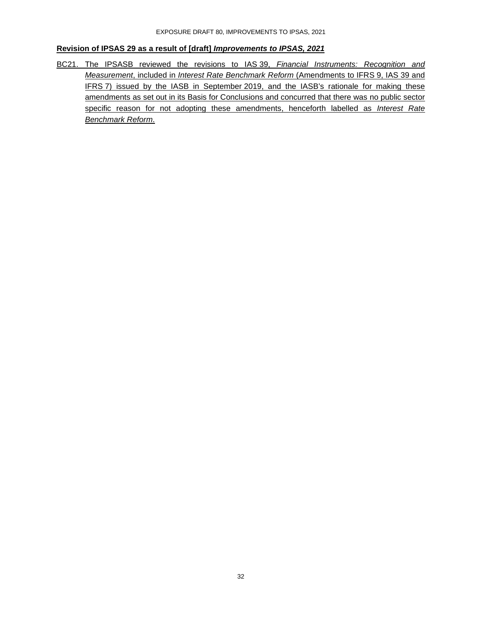#### **Revision of IPSAS 29 as a result of [draft]** *Improvements to IPSAS, 2021*

BC21. The IPSASB reviewed the revisions to IAS 39, *Financial Instruments: Recognition and Measurement*, included in *Interest Rate Benchmark Reform* (Amendments to IFRS 9, IAS 39 and IFRS 7) issued by the IASB in September 2019, and the IASB's rationale for making these amendments as set out in its Basis for Conclusions and concurred that there was no public sector specific reason for not adopting these amendments, henceforth labelled as *Interest Rate Benchmark Reform*.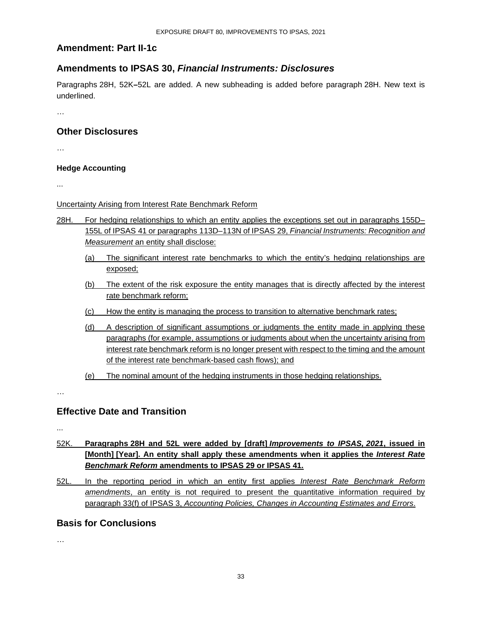### <span id="page-32-0"></span>**Amendment: Part II-1c**

# **Amendments to IPSAS 30,** *Financial Instruments: Disclosures*

Paragraphs 28H, 52K**–**52L are added. A new subheading is added before paragraph 28H. New text is underlined.

…

### **Other Disclosures**

…

#### **Hedge Accounting**

...

#### Uncertainty Arising from Interest Rate Benchmark Reform

- 28H. For hedging relationships to which an entity applies the exceptions set out in paragraphs 155D– 155L of IPSAS 41 or paragraphs 113D–113N of IPSAS 29, *Financial Instruments: Recognition and Measurement* an entity shall disclose:
	- (a) The significant interest rate benchmarks to which the entity's hedging relationships are exposed;
	- (b) The extent of the risk exposure the entity manages that is directly affected by the interest rate benchmark reform;
	- (c) How the entity is managing the process to transition to alternative benchmark rates;
	- (d) A description of significant assumptions or judgments the entity made in applying these paragraphs (for example, assumptions or judgments about when the uncertainty arising from interest rate benchmark reform is no longer present with respect to the timing and the amount of the interest rate benchmark-based cash flows); and
	- (e) The nominal amount of the hedging instruments in those hedging relationships.

…

# **Effective Date and Transition**

...

- 52K. **Paragraphs 28H and 52L were added by [draft]** *Improvements to IPSAS, 2021***, issued in [Month] [Year]. An entity shall apply these amendments when it applies the** *Interest Rate Benchmark Reform* **amendments to IPSAS 29 or IPSAS 41.**
- 52L. In the reporting period in which an entity first applies *Interest Rate Benchmark Reform amendments*, an entity is not required to present the quantitative information required by paragraph 33(f) of IPSAS 3, *Accounting Policies, Changes in Accounting Estimates and Errors*.

# **Basis for Conclusions**

…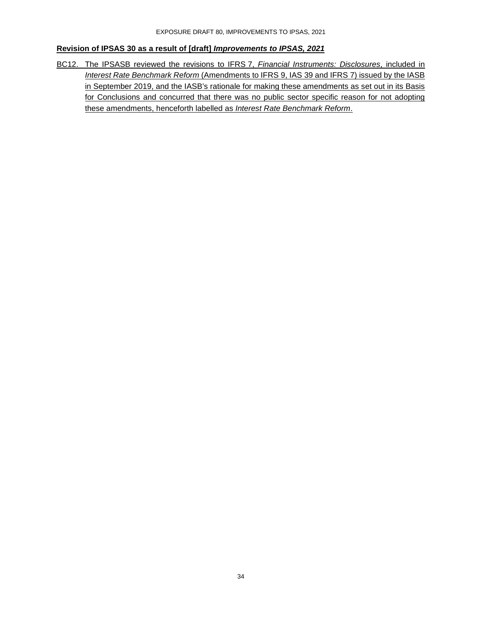#### **Revision of IPSAS 30 as a result of [draft]** *Improvements to IPSAS, 2021*

BC12. The IPSASB reviewed the revisions to IFRS 7, *Financial Instruments: Disclosures*, included in *Interest Rate Benchmark Reform* (Amendments to IFRS 9, IAS 39 and IFRS 7) issued by the IASB in September 2019, and the IASB's rationale for making these amendments as set out in its Basis for Conclusions and concurred that there was no public sector specific reason for not adopting these amendments, henceforth labelled as *Interest Rate Benchmark Reform*.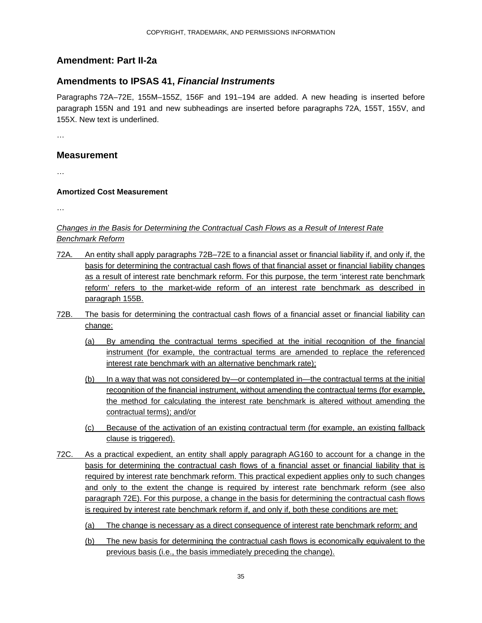# <span id="page-34-0"></span>**Amendment: Part II-2a**

### **Amendments to IPSAS 41,** *Financial Instruments*

Paragraphs 72A–72E, 155M–155Z, 156F and 191–194 are added. A new heading is inserted before paragraph 155N and 191 and new subheadings are inserted before paragraphs 72A, 155T, 155V, and 155X. New text is underlined.

…

### **Measurement**

…

#### **Amortized Cost Measurement**

…

### *Changes in the Basis for Determining the Contractual Cash Flows as a Result of Interest Rate Benchmark Reform*

- 72A. An entity shall apply paragraphs 72B–72E to a financial asset or financial liability if, and only if, the basis for determining the contractual cash flows of that financial asset or financial liability changes as a result of interest rate benchmark reform. For this purpose, the term 'interest rate benchmark reform' refers to the market-wide reform of an interest rate benchmark as described in paragraph 155B.
- 72B. The basis for determining the contractual cash flows of a financial asset or financial liability can change:
	- (a) By amending the contractual terms specified at the initial recognition of the financial instrument (for example, the contractual terms are amended to replace the referenced interest rate benchmark with an alternative benchmark rate);
	- (b) In a way that was not considered by—or contemplated in—the contractual terms at the initial recognition of the financial instrument, without amending the contractual terms (for example, the method for calculating the interest rate benchmark is altered without amending the contractual terms); and/or
	- (c) Because of the activation of an existing contractual term (for example, an existing fallback clause is triggered).
- 72C. As a practical expedient, an entity shall apply paragraph AG160 to account for a change in the basis for determining the contractual cash flows of a financial asset or financial liability that is required by interest rate benchmark reform. This practical expedient applies only to such changes and only to the extent the change is required by interest rate benchmark reform (see also paragraph 72E). For this purpose, a change in the basis for determining the contractual cash flows is required by interest rate benchmark reform if, and only if, both these conditions are met:
	- (a) The change is necessary as a direct consequence of interest rate benchmark reform; and
	- (b) The new basis for determining the contractual cash flows is economically equivalent to the previous basis (i.e., the basis immediately preceding the change).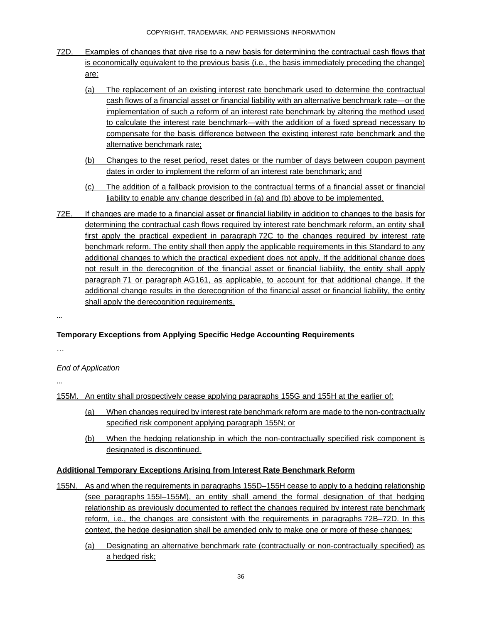- 72D. Examples of changes that give rise to a new basis for determining the contractual cash flows that is economically equivalent to the previous basis (i.e., the basis immediately preceding the change) are:
	- (a) The replacement of an existing interest rate benchmark used to determine the contractual cash flows of a financial asset or financial liability with an alternative benchmark rate—or the implementation of such a reform of an interest rate benchmark by altering the method used to calculate the interest rate benchmark—with the addition of a fixed spread necessary to compensate for the basis difference between the existing interest rate benchmark and the alternative benchmark rate;
	- (b) Changes to the reset period, reset dates or the number of days between coupon payment dates in order to implement the reform of an interest rate benchmark; and
	- (c) The addition of a fallback provision to the contractual terms of a financial asset or financial liability to enable any change described in (a) and (b) above to be implemented.
- 72E. If changes are made to a financial asset or financial liability in addition to changes to the basis for determining the contractual cash flows required by interest rate benchmark reform, an entity shall first apply the practical expedient in paragraph 72C to the changes required by interest rate benchmark reform. The entity shall then apply the applicable requirements in this Standard to any additional changes to which the practical expedient does not apply. If the additional change does not result in the derecognition of the financial asset or financial liability, the entity shall apply paragraph 71 or paragraph AG161, as applicable, to account for that additional change. If the additional change results in the derecognition of the financial asset or financial liability, the entity shall apply the derecognition requirements.

### **Temporary Exceptions from Applying Specific Hedge Accounting Requirements**

…

...

### *End of Application*

...

155M. An entity shall prospectively cease applying paragraphs 155G and 155H at the earlier of:

- (a) When changes required by interest rate benchmark reform are made to the non-contractually specified risk component applying paragraph 155N; or
- (b) When the hedging relationship in which the non-contractually specified risk component is designated is discontinued.

#### **Additional Temporary Exceptions Arising from Interest Rate Benchmark Reform**

- 155N. As and when the requirements in paragraphs 155D–155H cease to apply to a hedging relationship (see paragraphs 155I–155M), an entity shall amend the formal designation of that hedging relationship as previously documented to reflect the changes required by interest rate benchmark reform, i.e., the changes are consistent with the requirements in paragraphs 72B–72D. In this context, the hedge designation shall be amended only to make one or more of these changes:
	- (a) Designating an alternative benchmark rate (contractually or non-contractually specified) as a hedged risk;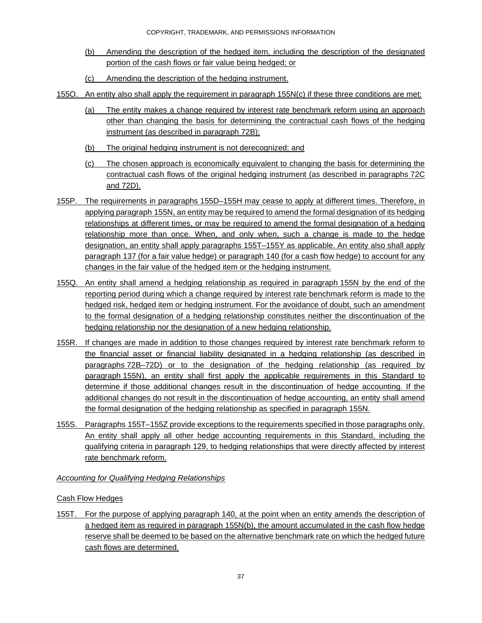- (b) Amending the description of the hedged item, including the description of the designated portion of the cash flows or fair value being hedged; or
- (c) Amending the description of the hedging instrument.
- 155O. An entity also shall apply the requirement in paragraph 155N(c) if these three conditions are met:
	- (a) The entity makes a change required by interest rate benchmark reform using an approach other than changing the basis for determining the contractual cash flows of the hedging instrument (as described in paragraph 72B);
	- (b) The original hedging instrument is not derecognized; and
	- (c) The chosen approach is economically equivalent to changing the basis for determining the contractual cash flows of the original hedging instrument (as described in paragraphs 72C and 72D).
- 155P. The requirements in paragraphs 155D–155H may cease to apply at different times. Therefore, in applying paragraph 155N, an entity may be required to amend the formal designation of its hedging relationships at different times, or may be required to amend the formal designation of a hedging relationship more than once. When, and only when, such a change is made to the hedge designation, an entity shall apply paragraphs 155T–155Y as applicable. An entity also shall apply paragraph 137 (for a fair value hedge) or paragraph 140 (for a cash flow hedge) to account for any changes in the fair value of the hedged item or the hedging instrument.
- 155Q. An entity shall amend a hedging relationship as required in paragraph 155N by the end of the reporting period during which a change required by interest rate benchmark reform is made to the hedged risk, hedged item or hedging instrument. For the avoidance of doubt, such an amendment to the formal designation of a hedging relationship constitutes neither the discontinuation of the hedging relationship nor the designation of a new hedging relationship.
- 155R. If changes are made in addition to those changes required by interest rate benchmark reform to the financial asset or financial liability designated in a hedging relationship (as described in paragraphs 72B–72D) or to the designation of the hedging relationship (as required by paragraph 155N), an entity shall first apply the applicable requirements in this Standard to determine if those additional changes result in the discontinuation of hedge accounting. If the additional changes do not result in the discontinuation of hedge accounting, an entity shall amend the formal designation of the hedging relationship as specified in paragraph 155N.
- 155S. Paragraphs 155T–155Z provide exceptions to the requirements specified in those paragraphs only. An entity shall apply all other hedge accounting requirements in this Standard, including the qualifying criteria in paragraph 129, to hedging relationships that were directly affected by interest rate benchmark reform.

#### *Accounting for Qualifying Hedging Relationships*

#### Cash Flow Hedges

155T. For the purpose of applying paragraph 140, at the point when an entity amends the description of a hedged item as required in paragraph 155N(b), the amount accumulated in the cash flow hedge reserve shall be deemed to be based on the alternative benchmark rate on which the hedged future cash flows are determined.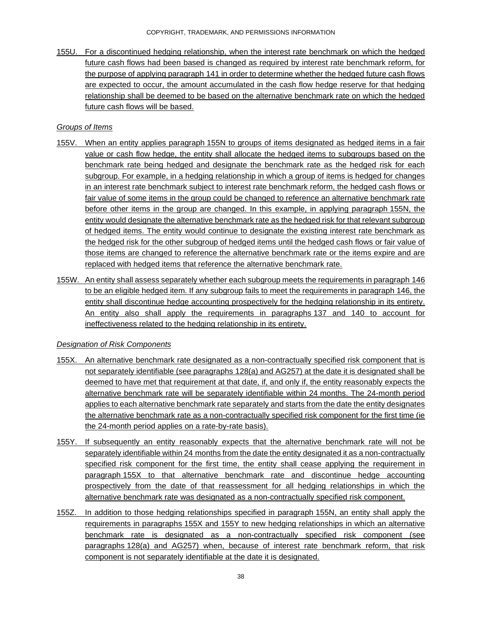155U. For a discontinued hedging relationship, when the interest rate benchmark on which the hedged future cash flows had been based is changed as required by interest rate benchmark reform, for the purpose of applying paragraph 141 in order to determine whether the hedged future cash flows are expected to occur, the amount accumulated in the cash flow hedge reserve for that hedging relationship shall be deemed to be based on the alternative benchmark rate on which the hedged future cash flows will be based.

#### *Groups of Items*

- 155V. When an entity applies paragraph 155N to groups of items designated as hedged items in a fair value or cash flow hedge, the entity shall allocate the hedged items to subgroups based on the benchmark rate being hedged and designate the benchmark rate as the hedged risk for each subgroup. For example, in a hedging relationship in which a group of items is hedged for changes in an interest rate benchmark subject to interest rate benchmark reform, the hedged cash flows or fair value of some items in the group could be changed to reference an alternative benchmark rate before other items in the group are changed. In this example, in applying paragraph 155N, the entity would designate the alternative benchmark rate as the hedged risk for that relevant subgroup of hedged items. The entity would continue to designate the existing interest rate benchmark as the hedged risk for the other subgroup of hedged items until the hedged cash flows or fair value of those items are changed to reference the alternative benchmark rate or the items expire and are replaced with hedged items that reference the alternative benchmark rate.
- 155W. An entity shall assess separately whether each subgroup meets the requirements in paragraph 146 to be an eligible hedged item. If any subgroup fails to meet the requirements in paragraph 146, the entity shall discontinue hedge accounting prospectively for the hedging relationship in its entirety. An entity also shall apply the requirements in paragraphs 137 and 140 to account for ineffectiveness related to the hedging relationship in its entirety.

#### *Designation of Risk Components*

- 155X. An alternative benchmark rate designated as a non-contractually specified risk component that is not separately identifiable (see paragraphs 128(a) and AG257) at the date it is designated shall be deemed to have met that requirement at that date, if, and only if, the entity reasonably expects the alternative benchmark rate will be separately identifiable within 24 months. The 24-month period applies to each alternative benchmark rate separately and starts from the date the entity designates the alternative benchmark rate as a non-contractually specified risk component for the first time (ie the 24-month period applies on a rate-by-rate basis).
- 155Y. If subsequently an entity reasonably expects that the alternative benchmark rate will not be separately identifiable within 24 months from the date the entity designated it as a non-contractually specified risk component for the first time, the entity shall cease applying the requirement in paragraph 155X to that alternative benchmark rate and discontinue hedge accounting prospectively from the date of that reassessment for all hedging relationships in which the alternative benchmark rate was designated as a non-contractually specified risk component.
- 155Z. In addition to those hedging relationships specified in paragraph 155N, an entity shall apply the requirements in paragraphs 155X and 155Y to new hedging relationships in which an alternative benchmark rate is designated as a non-contractually specified risk component (see paragraphs 128(a) and AG257) when, because of interest rate benchmark reform, that risk component is not separately identifiable at the date it is designated.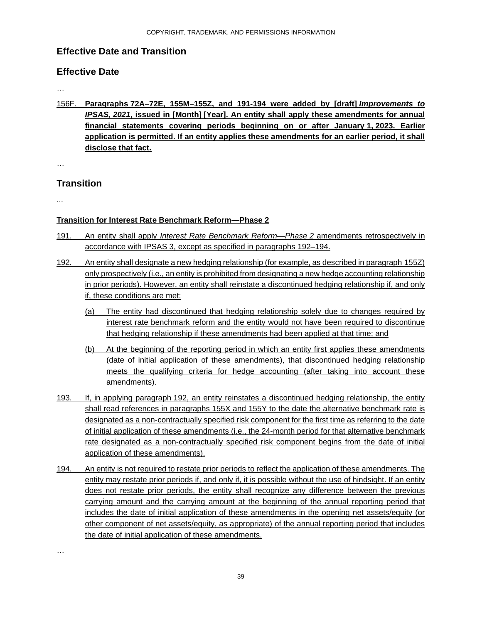# **Effective Date and Transition**

# **Effective Date**

#### …

156F. **Paragraphs 72A–72E, 155M–155Z, and 191-194 were added by [draft]** *Improvements to IPSAS, 2021***, issued in [Month] [Year]. An entity shall apply these amendments for annual financial statements covering periods beginning on or after January 1, 2023. Earlier application is permitted. If an entity applies these amendments for an earlier period, it shall disclose that fact.**

…

# **Transition**

...

…

### **Transition for Interest Rate Benchmark Reform—Phase 2**

- 191. An entity shall apply *Interest Rate Benchmark Reform—Phase 2* amendments retrospectively in accordance with IPSAS 3, except as specified in paragraphs 192–194.
- 192. An entity shall designate a new hedging relationship (for example, as described in paragraph 155Z) only prospectively (i.e., an entity is prohibited from designating a new hedge accounting relationship in prior periods). However, an entity shall reinstate a discontinued hedging relationship if, and only if, these conditions are met:
	- (a) The entity had discontinued that hedging relationship solely due to changes required by interest rate benchmark reform and the entity would not have been required to discontinue that hedging relationship if these amendments had been applied at that time; and
	- (b) At the beginning of the reporting period in which an entity first applies these amendments (date of initial application of these amendments), that discontinued hedging relationship meets the qualifying criteria for hedge accounting (after taking into account these amendments).
- 193. If, in applying paragraph 192, an entity reinstates a discontinued hedging relationship, the entity shall read references in paragraphs 155X and 155Y to the date the alternative benchmark rate is designated as a non-contractually specified risk component for the first time as referring to the date of initial application of these amendments (i.e., the 24-month period for that alternative benchmark rate designated as a non-contractually specified risk component begins from the date of initial application of these amendments).
- 194. An entity is not required to restate prior periods to reflect the application of these amendments. The entity may restate prior periods if, and only if, it is possible without the use of hindsight. If an entity does not restate prior periods, the entity shall recognize any difference between the previous carrying amount and the carrying amount at the beginning of the annual reporting period that includes the date of initial application of these amendments in the opening net assets/equity (or other component of net assets/equity, as appropriate) of the annual reporting period that includes the date of initial application of these amendments.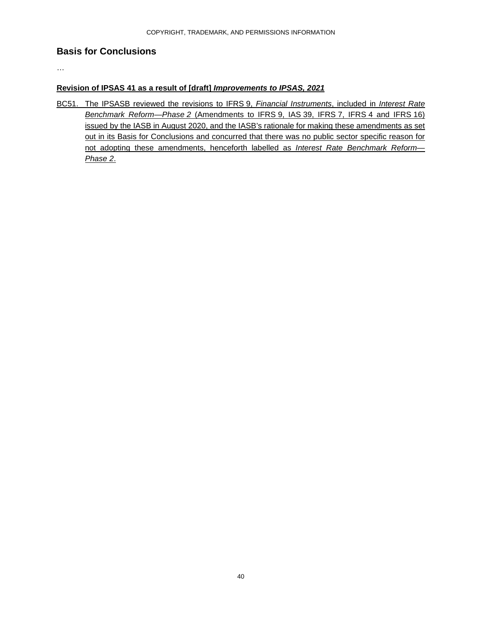# **Basis for Conclusions**

…

#### **Revision of IPSAS 41 as a result of [draft]** *Improvements to IPSAS, 2021*

BC51. The IPSASB reviewed the revisions to IFRS 9, *Financial Instruments*, included in *Interest Rate Benchmark Reform—Phase 2* (Amendments to IFRS 9, IAS 39, IFRS 7, IFRS 4 and IFRS 16) issued by the IASB in August 2020, and the IASB's rationale for making these amendments as set out in its Basis for Conclusions and concurred that there was no public sector specific reason for not adopting these amendments, henceforth labelled as *Interest Rate Benchmark Reform— Phase 2*.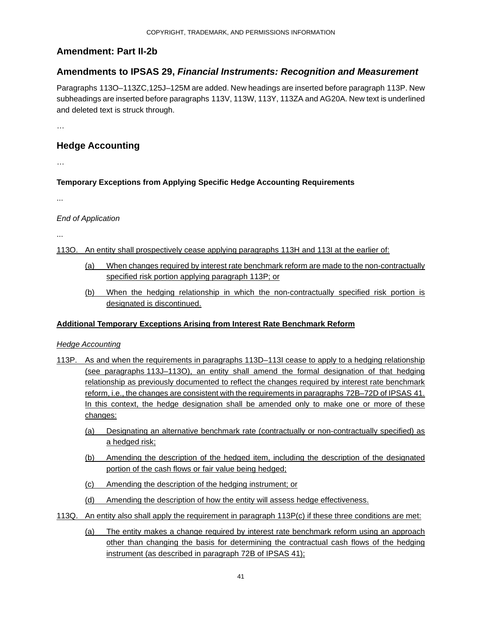# <span id="page-40-0"></span>**Amendment: Part II-2b**

# **Amendments to IPSAS 29,** *Financial Instruments: Recognition and Measurement*

Paragraphs 113O–113ZC,125J–125M are added. New headings are inserted before paragraph 113P. New subheadings are inserted before paragraphs 113V, 113W, 113Y, 113ZA and AG20A. New text is underlined and deleted text is struck through.

…

# **Hedge Accounting**

…

**Temporary Exceptions from Applying Specific Hedge Accounting Requirements**

...

#### *End of Application*

...

113O. An entity shall prospectively cease applying paragraphs 113H and 113I at the earlier of:

- (a) When changes required by interest rate benchmark reform are made to the non-contractually specified risk portion applying paragraph 113P; or
- (b) When the hedging relationship in which the non-contractually specified risk portion is designated is discontinued.

### **Additional Temporary Exceptions Arising from Interest Rate Benchmark Reform**

#### *Hedge Accounting*

- 113P. As and when the requirements in paragraphs 113D–113I cease to apply to a hedging relationship (see paragraphs 113J–113O), an entity shall amend the formal designation of that hedging relationship as previously documented to reflect the changes required by interest rate benchmark reform, i.e., the changes are consistent with the requirements in paragraphs 72B–72D of IPSAS 41. In this context, the hedge designation shall be amended only to make one or more of these changes:
	- (a) Designating an alternative benchmark rate (contractually or non-contractually specified) as a hedged risk;
	- (b) Amending the description of the hedged item, including the description of the designated portion of the cash flows or fair value being hedged;
	- (c) Amending the description of the hedging instrument; or
	- (d) Amending the description of how the entity will assess hedge effectiveness.
- 113Q. An entity also shall apply the requirement in paragraph 113P(c) if these three conditions are met:
	- (a) The entity makes a change required by interest rate benchmark reform using an approach other than changing the basis for determining the contractual cash flows of the hedging instrument (as described in paragraph 72B of IPSAS 41);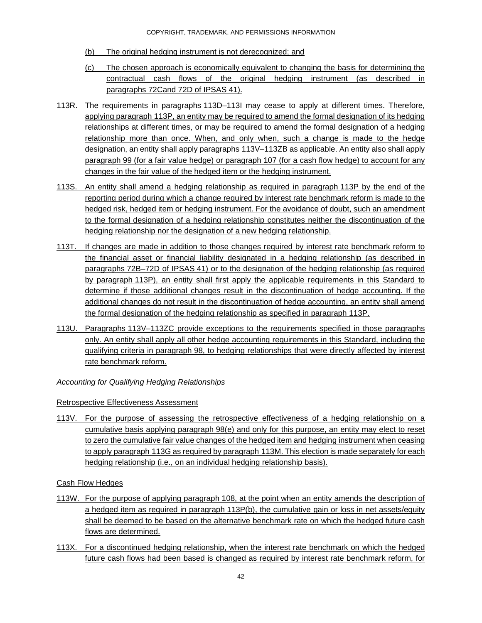- (b) The original hedging instrument is not derecognized; and
- (c) The chosen approach is economically equivalent to changing the basis for determining the contractual cash flows of the original hedging instrument (as described in paragraphs 72Cand 72D of IPSAS 41).
- 113R. The requirements in paragraphs 113D–113I may cease to apply at different times. Therefore, applying paragraph 113P, an entity may be required to amend the formal designation of its hedging relationships at different times, or may be required to amend the formal designation of a hedging relationship more than once. When, and only when, such a change is made to the hedge designation, an entity shall apply paragraphs 113V–113ZB as applicable. An entity also shall apply paragraph 99 (for a fair value hedge) or paragraph 107 (for a cash flow hedge) to account for any changes in the fair value of the hedged item or the hedging instrument.
- 113S. An entity shall amend a hedging relationship as required in paragraph 113P by the end of the reporting period during which a change required by interest rate benchmark reform is made to the hedged risk, hedged item or hedging instrument. For the avoidance of doubt, such an amendment to the formal designation of a hedging relationship constitutes neither the discontinuation of the hedging relationship nor the designation of a new hedging relationship.
- 113T. If changes are made in addition to those changes required by interest rate benchmark reform to the financial asset or financial liability designated in a hedging relationship (as described in paragraphs 72B–72D of IPSAS 41) or to the designation of the hedging relationship (as required by paragraph 113P), an entity shall first apply the applicable requirements in this Standard to determine if those additional changes result in the discontinuation of hedge accounting. If the additional changes do not result in the discontinuation of hedge accounting, an entity shall amend the formal designation of the hedging relationship as specified in paragraph 113P.
- 113U. Paragraphs 113V–113ZC provide exceptions to the requirements specified in those paragraphs only. An entity shall apply all other hedge accounting requirements in this Standard, including the qualifying criteria in paragraph 98, to hedging relationships that were directly affected by interest rate benchmark reform.

### *Accounting for Qualifying Hedging Relationships*

### Retrospective Effectiveness Assessment

113V. For the purpose of assessing the retrospective effectiveness of a hedging relationship on a cumulative basis applying paragraph 98(e) and only for this purpose, an entity may elect to reset to zero the cumulative fair value changes of the hedged item and hedging instrument when ceasing to apply paragraph 113G as required by paragraph 113M. This election is made separately for each hedging relationship (i.e., on an individual hedging relationship basis).

Cash Flow Hedges

- 113W. For the purpose of applying paragraph 108, at the point when an entity amends the description of a hedged item as required in paragraph 113P(b), the cumulative gain or loss in net assets/equity shall be deemed to be based on the alternative benchmark rate on which the hedged future cash flows are determined.
- 113X. For a discontinued hedging relationship, when the interest rate benchmark on which the hedged future cash flows had been based is changed as required by interest rate benchmark reform, for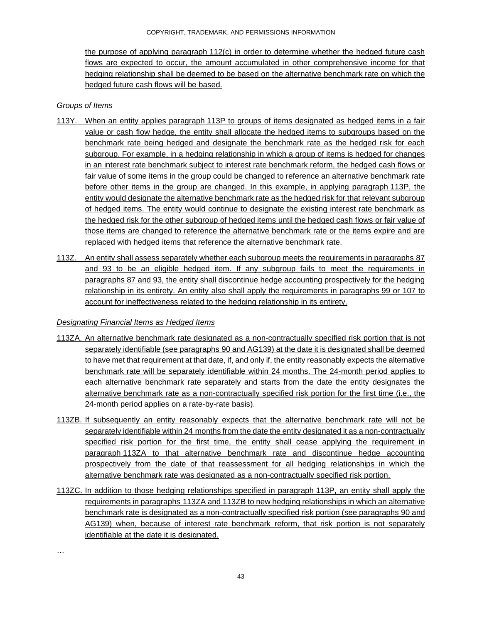the purpose of applying paragraph 112(c) in order to determine whether the hedged future cash flows are expected to occur, the amount accumulated in other comprehensive income for that hedging relationship shall be deemed to be based on the alternative benchmark rate on which the hedged future cash flows will be based.

#### *Groups of Items*

…

- 113Y. When an entity applies paragraph 113P to groups of items designated as hedged items in a fair value or cash flow hedge, the entity shall allocate the hedged items to subgroups based on the benchmark rate being hedged and designate the benchmark rate as the hedged risk for each subgroup. For example, in a hedging relationship in which a group of items is hedged for changes in an interest rate benchmark subject to interest rate benchmark reform, the hedged cash flows or fair value of some items in the group could be changed to reference an alternative benchmark rate before other items in the group are changed. In this example, in applying paragraph 113P, the entity would designate the alternative benchmark rate as the hedged risk for that relevant subgroup of hedged items. The entity would continue to designate the existing interest rate benchmark as the hedged risk for the other subgroup of hedged items until the hedged cash flows or fair value of those items are changed to reference the alternative benchmark rate or the items expire and are replaced with hedged items that reference the alternative benchmark rate.
- 113Z. An entity shall assess separately whether each subgroup meets the requirements in paragraphs 87 and 93 to be an eligible hedged item. If any subgroup fails to meet the requirements in paragraphs 87 and 93, the entity shall discontinue hedge accounting prospectively for the hedging relationship in its entirety. An entity also shall apply the requirements in paragraphs 99 or 107 to account for ineffectiveness related to the hedging relationship in its entirety.

#### *Designating Financial Items as Hedged Items*

- 113ZA. An alternative benchmark rate designated as a non-contractually specified risk portion that is not separately identifiable (see paragraphs 90 and AG139) at the date it is designated shall be deemed to have met that requirement at that date, if, and only if, the entity reasonably expects the alternative benchmark rate will be separately identifiable within 24 months. The 24-month period applies to each alternative benchmark rate separately and starts from the date the entity designates the alternative benchmark rate as a non-contractually specified risk portion for the first time (i.e., the 24-month period applies on a rate-by-rate basis).
- 113ZB. If subsequently an entity reasonably expects that the alternative benchmark rate will not be separately identifiable within 24 months from the date the entity designated it as a non-contractually specified risk portion for the first time, the entity shall cease applying the requirement in paragraph 113ZA to that alternative benchmark rate and discontinue hedge accounting prospectively from the date of that reassessment for all hedging relationships in which the alternative benchmark rate was designated as a non-contractually specified risk portion.
- 113ZC. In addition to those hedging relationships specified in paragraph 113P, an entity shall apply the requirements in paragraphs 113ZA and 113ZB to new hedging relationships in which an alternative benchmark rate is designated as a non-contractually specified risk portion (see paragraphs 90 and AG139) when, because of interest rate benchmark reform, that risk portion is not separately identifiable at the date it is designated.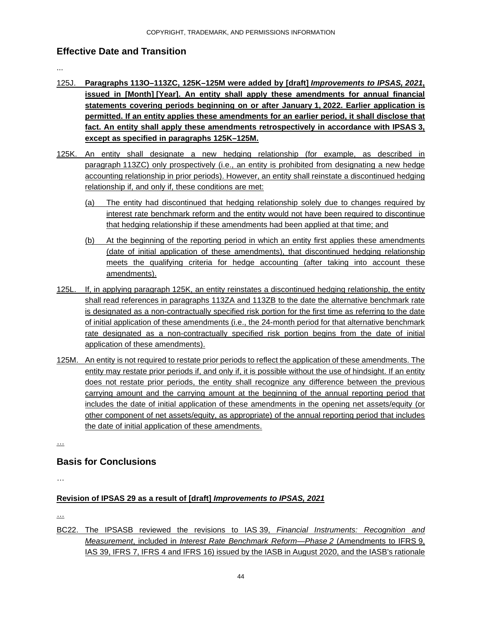### **Effective Date and Transition**

...

- 125J. **Paragraphs 113O–113ZC, 125K–125M were added by [draft]** *Improvements to IPSAS, 2021***, issued in [Month] [Year]. An entity shall apply these amendments for annual financial statements covering periods beginning on or after January 1, 2022. Earlier application is permitted. If an entity applies these amendments for an earlier period, it shall disclose that fact. An entity shall apply these amendments retrospectively in accordance with IPSAS 3, except as specified in paragraphs 125K–125M.**
- 125K. An entity shall designate a new hedging relationship (for example, as described in paragraph 113ZC) only prospectively (i.e., an entity is prohibited from designating a new hedge accounting relationship in prior periods). However, an entity shall reinstate a discontinued hedging relationship if, and only if, these conditions are met:
	- (a) The entity had discontinued that hedging relationship solely due to changes required by interest rate benchmark reform and the entity would not have been required to discontinue that hedging relationship if these amendments had been applied at that time; and
	- (b) At the beginning of the reporting period in which an entity first applies these amendments (date of initial application of these amendments), that discontinued hedging relationship meets the qualifying criteria for hedge accounting (after taking into account these amendments).
- 125L. If, in applying paragraph 125K, an entity reinstates a discontinued hedging relationship, the entity shall read references in paragraphs 113ZA and 113ZB to the date the alternative benchmark rate is designated as a non-contractually specified risk portion for the first time as referring to the date of initial application of these amendments (i.e., the 24-month period for that alternative benchmark rate designated as a non-contractually specified risk portion begins from the date of initial application of these amendments).
- 125M. An entity is not required to restate prior periods to reflect the application of these amendments. The entity may restate prior periods if, and only if, it is possible without the use of hindsight. If an entity does not restate prior periods, the entity shall recognize any difference between the previous carrying amount and the carrying amount at the beginning of the annual reporting period that includes the date of initial application of these amendments in the opening net assets/equity (or other component of net assets/equity, as appropriate) of the annual reporting period that includes the date of initial application of these amendments.

…

# **Basis for Conclusions**

…

#### **Revision of IPSAS 29 as a result of [draft]** *Improvements to IPSAS, 2021*

…

BC22. The IPSASB reviewed the revisions to IAS 39, *Financial Instruments: Recognition and Measurement*, included in *Interest Rate Benchmark Reform—Phase 2* (Amendments to IFRS 9, IAS 39, IFRS 7, IFRS 4 and IFRS 16) issued by the IASB in August 2020, and the IASB's rationale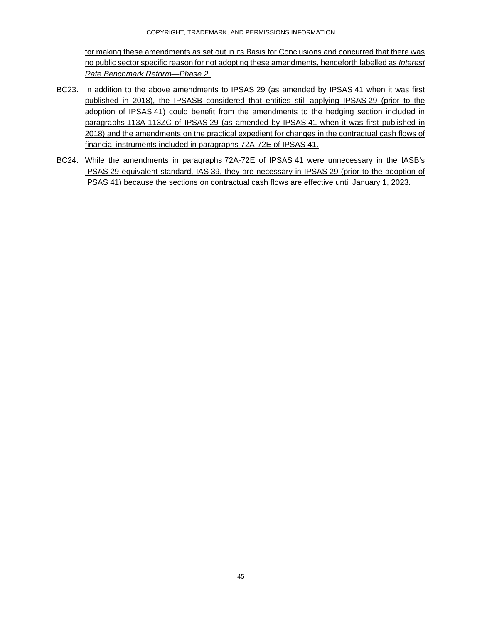for making these amendments as set out in its Basis for Conclusions and concurred that there was no public sector specific reason for not adopting these amendments, henceforth labelled as *Interest Rate Benchmark Reform—Phase 2*.

- BC23. In addition to the above amendments to IPSAS 29 (as amended by IPSAS 41 when it was first published in 2018), the IPSASB considered that entities still applying IPSAS 29 (prior to the adoption of IPSAS 41) could benefit from the amendments to the hedging section included in paragraphs 113A-113ZC of IPSAS 29 (as amended by IPSAS 41 when it was first published in 2018) and the amendments on the practical expedient for changes in the contractual cash flows of financial instruments included in paragraphs 72A-72E of IPSAS 41.
- BC24. While the amendments in paragraphs 72A-72E of IPSAS 41 were unnecessary in the IASB's IPSAS 29 equivalent standard, IAS 39, they are necessary in IPSAS 29 (prior to the adoption of IPSAS 41) because the sections on contractual cash flows are effective until January 1, 2023.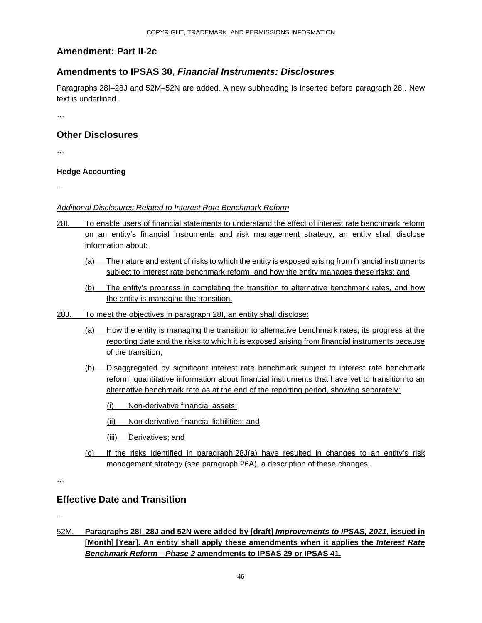# <span id="page-45-0"></span>**Amendment: Part II-2c**

# <span id="page-45-1"></span>**Amendments to IPSAS 30,** *Financial Instruments: Disclosures*

Paragraphs 28I–28J and 52M–52N are added. A new subheading is inserted before paragraph 28I. New text is underlined.

…

### **Other Disclosures**

…

### **Hedge Accounting**

...

#### *Additional Disclosures Related to Interest Rate Benchmark Reform*

- 28I. To enable users of financial statements to understand the effect of interest rate benchmark reform on an entity's financial instruments and risk management strategy, an entity shall disclose information about:
	- (a) The nature and extent of risks to which the entity is exposed arising from financial instruments subject to interest rate benchmark reform, and how the entity manages these risks; and
	- (b) The entity's progress in completing the transition to alternative benchmark rates, and how the entity is managing the transition.
- 28J. To meet the objectives in paragraph 28I, an entity shall disclose:
	- (a) How the entity is managing the transition to alternative benchmark rates, its progress at the reporting date and the risks to which it is exposed arising from financial instruments because of the transition;
	- (b) Disaggregated by significant interest rate benchmark subject to interest rate benchmark reform, quantitative information about financial instruments that have yet to transition to an alternative benchmark rate as at the end of the reporting period, showing separately:
		- (i) Non-derivative financial assets;
		- (ii) Non-derivative financial liabilities; and
		- (iii) Derivatives; and
	- (c) If the risks identified in paragraph 28J(a) have resulted in changes to an entity's risk management strategy (see paragraph 26A), a description of these changes.

…

# **Effective Date and Transition**

...

52M. **Paragraphs 28I–28J and 52N were added by [draft]** *Improvements to IPSAS, 2021***, issued in [Month] [Year]. An entity shall apply these amendments when it applies the** *Interest Rate Benchmark Reform—Phase 2* **amendments to IPSAS 29 or IPSAS 41.**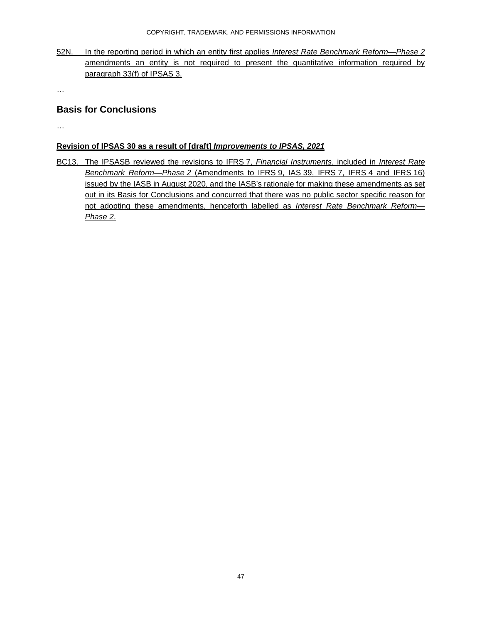52N. In the reporting period in which an entity first applies *Interest Rate Benchmark Reform—Phase 2* amendments an entity is not required to present the quantitative information required by paragraph 33(f) of IPSAS 3.

…

# **Basis for Conclusions**

…

#### **Revision of IPSAS 30 as a result of [draft]** *Improvements to IPSAS, 2021*

BC13. The IPSASB reviewed the revisions to IFRS 7, *Financial Instruments*, included in *Interest Rate Benchmark Reform—Phase 2* (Amendments to IFRS 9, IAS 39, IFRS 7, IFRS 4 and IFRS 16) issued by the IASB in August 2020, and the IASB's rationale for making these amendments as set out in its Basis for Conclusions and concurred that there was no public sector specific reason for not adopting these amendments, henceforth labelled as *Interest Rate Benchmark Reform— Phase 2*.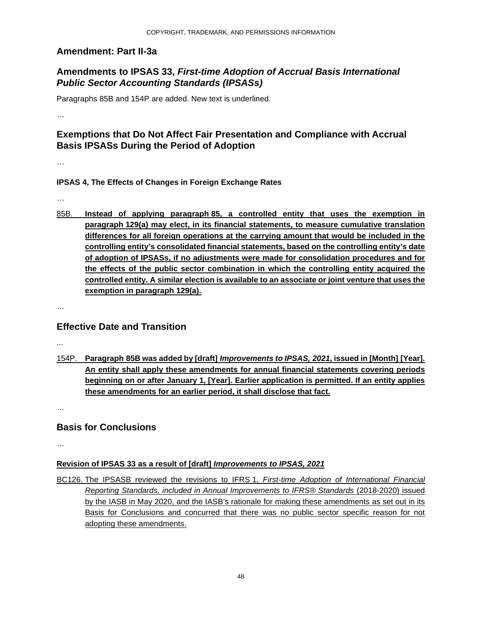# <span id="page-47-0"></span>**Amendment: Part II-3a**

# **Amendments to IPSAS 33,** *First-time Adoption of Accrual Basis International Public Sector Accounting Standards (IPSASs)*

Paragraphs 85B and 154P are added. New text is underlined.

…

# **Exemptions that Do Not Affect Fair Presentation and Compliance with Accrual Basis IPSASs During the Period of Adoption**

…

**IPSAS 4, The Effects of Changes in Foreign Exchange Rates**

…

85B. **Instead of applying paragraph 85, a controlled entity that uses the exemption in paragraph 129(a) may elect, in its financial statements, to measure cumulative translation differences for all foreign operations at the carrying amount that would be included in the controlling entity's consolidated financial statements, based on the controlling entity's date of adoption of IPSASs, if no adjustments were made for consolidation procedures and for the effects of the public sector combination in which the controlling entity acquired the controlled entity. A similar election is available to an associate or joint venture that uses the exemption in paragraph 129(a).**

…

# **Effective Date and Transition**

...

154P. **Paragraph 85B was added by [draft]** *Improvements to IPSAS, 2021***, issued in [Month] [Year]. An entity shall apply these amendments for annual financial statements covering periods beginning on or after January 1, [Year]. Earlier application is permitted. If an entity applies these amendments for an earlier period, it shall disclose that fact.**

…

# **Basis for Conclusions**

…

### **Revision of IPSAS 33 as a result of [draft]** *Improvements to IPSAS, 2021*

BC126. The IPSASB reviewed the revisions to IFRS 1, *First-time Adoption of International Financial Reporting Standards, included in Annual Improvements to IFRS® Standards* (2018-2020) issued by the IASB in May 2020, and the IASB's rationale for making these amendments as set out in its Basis for Conclusions and concurred that there was no public sector specific reason for not adopting these amendments.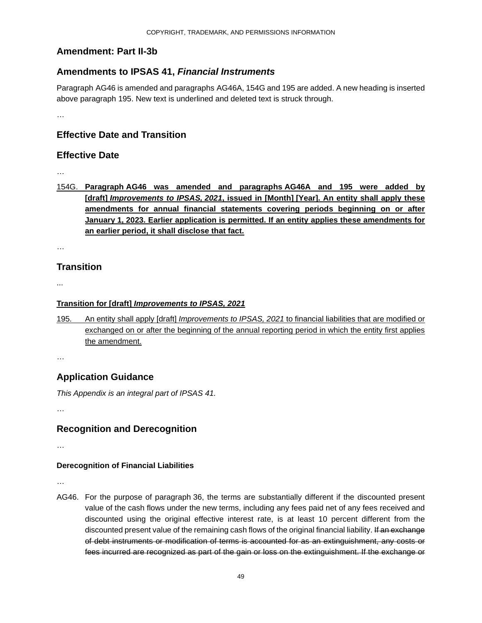### <span id="page-48-0"></span>**Amendment: Part II-3b**

### **Amendments to IPSAS 41,** *Financial Instruments*

Paragraph AG46 is amended and paragraphs AG46A, 154G and 195 are added. A new heading is inserted above paragraph 195. New text is underlined and deleted text is struck through.

…

# **Effective Date and Transition**

#### **Effective Date**

…

154G. **Paragraph AG46 was amended and paragraphs AG46A and 195 were added by [draft]** *Improvements to IPSAS, 2021***, issued in [Month] [Year]. An entity shall apply these amendments for annual financial statements covering periods beginning on or after January 1, 2023. Earlier application is permitted. If an entity applies these amendments for an earlier period, it shall disclose that fact.**

…

### **Transition**

...

#### **Transition for [draft]** *Improvements to IPSAS, 2021*

195. An entity shall apply [draft] *Improvements to IPSAS, 2021* to financial liabilities that are modified or exchanged on or after the beginning of the annual reporting period in which the entity first applies the amendment.

…

# **Application Guidance**

*This Appendix is an integral part of IPSAS 41.*

…

# **Recognition and Derecognition**

…

#### **Derecognition of Financial Liabilities**

…

AG46. For the purpose of paragraph 36, the terms are substantially different if the discounted present value of the cash flows under the new terms, including any fees paid net of any fees received and discounted using the original effective interest rate, is at least 10 percent different from the discounted present value of the remaining cash flows of the original financial liability. If an exchange of debt instruments or modification of terms is accounted for as an extinguishment, any costs or fees incurred are recognized as part of the gain or loss on the extinguishment. If the exchange or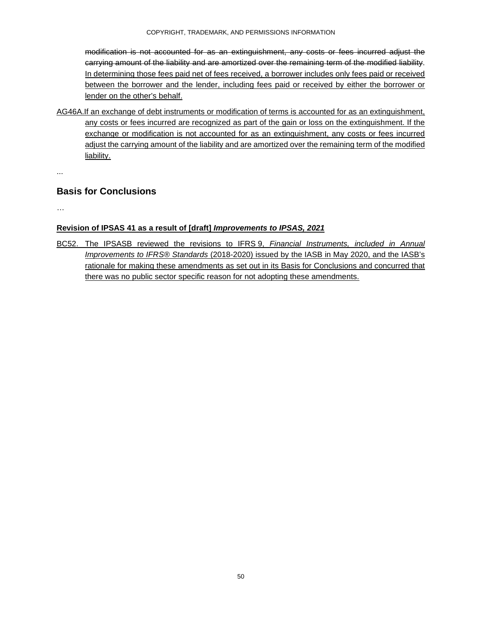modification is not accounted for as an extinguishment, any costs or fees incurred adjust the carrying amount of the liability and are amortized over the remaining term of the modified liability. In determining those fees paid net of fees received, a borrower includes only fees paid or received between the borrower and the lender, including fees paid or received by either the borrower or lender on the other's behalf.

AG46A.If an exchange of debt instruments or modification of terms is accounted for as an extinguishment, any costs or fees incurred are recognized as part of the gain or loss on the extinguishment. If the exchange or modification is not accounted for as an extinguishment, any costs or fees incurred adjust the carrying amount of the liability and are amortized over the remaining term of the modified liability.

...

# **Basis for Conclusions**

…

### **Revision of IPSAS 41 as a result of [draft]** *Improvements to IPSAS, 2021*

BC52. The IPSASB reviewed the revisions to IFRS 9, *Financial Instruments, included in Annual Improvements to IFRS® Standards* (2018-2020) issued by the IASB in May 2020, and the IASB's rationale for making these amendments as set out in its Basis for Conclusions and concurred that there was no public sector specific reason for not adopting these amendments.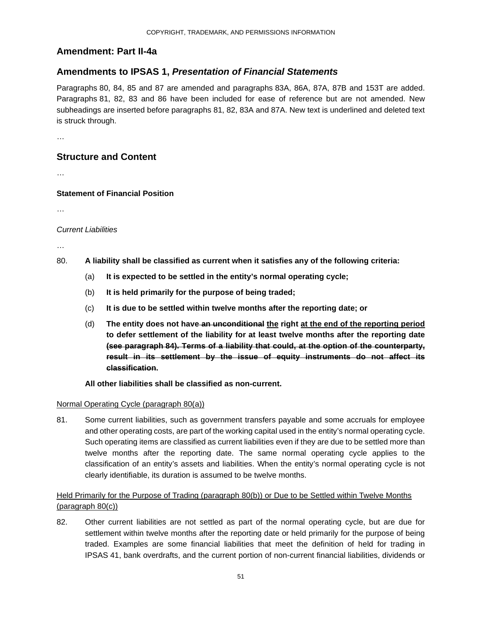# <span id="page-50-0"></span>**Amendment: Part II-4a**

### **Amendments to IPSAS 1,** *Presentation of Financial Statements*

Paragraphs 80, 84, 85 and 87 are amended and paragraphs 83A, 86A, 87A, 87B and 153T are added. Paragraphs 81, 82, 83 and 86 have been included for ease of reference but are not amended. New subheadings are inserted before paragraphs 81, 82, 83A and 87A. New text is underlined and deleted text is struck through.

…

### **Structure and Content**

…

#### **Statement of Financial Position**

…

#### *Current Liabilities*

…

- 80. **A liability shall be classified as current when it satisfies any of the following criteria:**
	- (a) **It is expected to be settled in the entity's normal operating cycle;**
	- (b) **It is held primarily for the purpose of being traded;**
	- (c) **It is due to be settled within twelve months after the reporting date; or**
	- (d) **The entity does not have an unconditional the right at the end of the reporting period to defer settlement of the liability for at least twelve months after the reporting date (see paragraph 84). Terms of a liability that could, at the option of the counterparty, result in its settlement by the issue of equity instruments do not affect its classification.**

#### **All other liabilities shall be classified as non-current.**

#### Normal Operating Cycle (paragraph 80(a))

81. Some current liabilities, such as government transfers payable and some accruals for employee and other operating costs, are part of the working capital used in the entity's normal operating cycle. Such operating items are classified as current liabilities even if they are due to be settled more than twelve months after the reporting date. The same normal operating cycle applies to the classification of an entity's assets and liabilities. When the entity's normal operating cycle is not clearly identifiable, its duration is assumed to be twelve months.

Held Primarily for the Purpose of Trading (paragraph 80(b)) or Due to be Settled within Twelve Months (paragraph 80(c))

82. Other current liabilities are not settled as part of the normal operating cycle, but are due for settlement within twelve months after the reporting date or held primarily for the purpose of being traded. Examples are some financial liabilities that meet the definition of held for trading in IPSAS 41, bank overdrafts, and the current portion of non-current financial liabilities, dividends or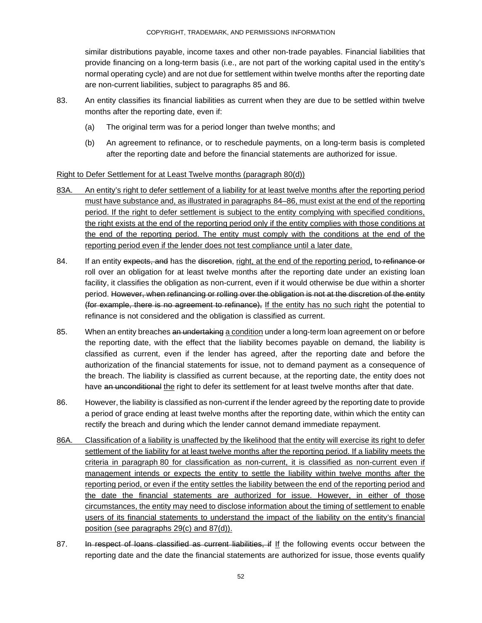similar distributions payable, income taxes and other non-trade payables. Financial liabilities that provide financing on a long-term basis (i.e., are not part of the working capital used in the entity's normal operating cycle) and are not due for settlement within twelve months after the reporting date are non-current liabilities, subject to paragraphs 85 and 86.

- 83. An entity classifies its financial liabilities as current when they are due to be settled within twelve months after the reporting date, even if:
	- (a) The original term was for a period longer than twelve months; and
	- (b) An agreement to refinance, or to reschedule payments, on a long-term basis is completed after the reporting date and before the financial statements are authorized for issue.

#### Right to Defer Settlement for at Least Twelve months (paragraph 80(d))

- 83A. An entity's right to defer settlement of a liability for at least twelve months after the reporting period must have substance and, as illustrated in paragraphs 84–86, must exist at the end of the reporting period. If the right to defer settlement is subject to the entity complying with specified conditions, the right exists at the end of the reporting period only if the entity complies with those conditions at the end of the reporting period. The entity must comply with the conditions at the end of the reporting period even if the lender does not test compliance until a later date.
- 84. If an entity expects, and has the discretion, right, at the end of the reporting period, to-refinance or roll over an obligation for at least twelve months after the reporting date under an existing loan facility, it classifies the obligation as non-current, even if it would otherwise be due within a shorter period. However, when refinancing or rolling over the obligation is not at the discretion of the entity (for example, there is no agreement to refinance), If the entity has no such right the potential to refinance is not considered and the obligation is classified as current.
- 85. When an entity breaches an undertaking a condition under a long-term loan agreement on or before the reporting date, with the effect that the liability becomes payable on demand, the liability is classified as current, even if the lender has agreed, after the reporting date and before the authorization of the financial statements for issue, not to demand payment as a consequence of the breach. The liability is classified as current because, at the reporting date, the entity does not have an unconditional the right to defer its settlement for at least twelve months after that date.
- 86. However, the liability is classified as non-current if the lender agreed by the reporting date to provide a period of grace ending at least twelve months after the reporting date, within which the entity can rectify the breach and during which the lender cannot demand immediate repayment.
- 86A. Classification of a liability is unaffected by the likelihood that the entity will exercise its right to defer settlement of the liability for at least twelve months after the reporting period. If a liability meets the criteria in paragraph 80 for classification as non-current, it is classified as non-current even if management intends or expects the entity to settle the liability within twelve months after the reporting period, or even if the entity settles the liability between the end of the reporting period and the date the financial statements are authorized for issue. However, in either of those circumstances, the entity may need to disclose information about the timing of settlement to enable users of its financial statements to understand the impact of the liability on the entity's financial position (see paragraphs 29(c) and 87(d)).
- 87. In respect of loans classified as current liabilities, if If the following events occur between the reporting date and the date the financial statements are authorized for issue, those events qualify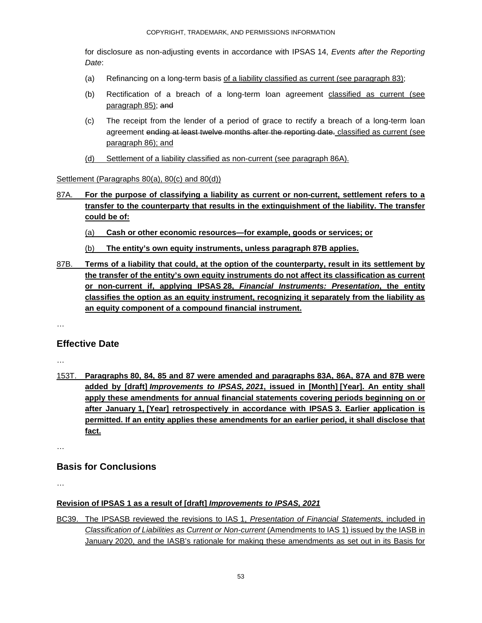for disclosure as non-adjusting events in accordance with IPSAS 14, *Events after the Reporting Date*:

- (a) Refinancing on a long-term basis of a liability classified as current (see paragraph 83);
- (b) Rectification of a breach of a long-term loan agreement classified as current (see paragraph 85); and
- (c) The receipt from the lender of a period of grace to rectify a breach of a long-term loan agreement ending at least twelve months after the reporting date. classified as current (see paragraph 86); and
- (d) Settlement of a liability classified as non-current (see paragraph 86A).
- Settlement (Paragraphs 80(a), 80(c) and 80(d))
- 87A. **For the purpose of classifying a liability as current or non-current, settlement refers to a transfer to the counterparty that results in the extinguishment of the liability. The transfer could be of:**
	- (a) **Cash or other economic resources—for example, goods or services; or**
	- (b) **The entity's own equity instruments, unless paragraph 87B applies.**
- 87B. **Terms of a liability that could, at the option of the counterparty, result in its settlement by the transfer of the entity's own equity instruments do not affect its classification as current or non-current if, applying IPSAS 28,** *Financial Instruments: Presentation***, the entity classifies the option as an equity instrument, recognizing it separately from the liability as an equity component of a compound financial instrument.**
- …

### **Effective Date**

- …
- 153T. **Paragraphs 80, 84, 85 and 87 were amended and paragraphs 83A, 86A, 87A and 87B were added by [draft]** *Improvements to IPSAS, 2021***, issued in [Month] [Year]. An entity shall apply these amendments for annual financial statements covering periods beginning on or after January 1, [Year] retrospectively in accordance with IPSAS 3. Earlier application is permitted. If an entity applies these amendments for an earlier period, it shall disclose that fact.**

…

# **Basis for Conclusions**

…

#### **Revision of IPSAS 1 as a result of [draft]** *Improvements to IPSAS, 2021*

BC39. The IPSASB reviewed the revisions to IAS 1, *Presentation of Financial Statements,* included in *Classification of Liabilities as Current or Non-current* (Amendments to IAS 1) issued by the IASB in January 2020, and the IASB's rationale for making these amendments as set out in its Basis for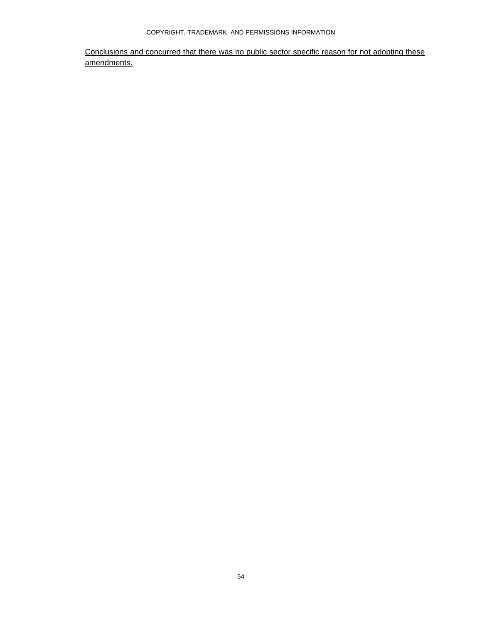#### COPYRIGHT, TRADEMARK, AND PERMISSIONS INFORMATION

Conclusions and concurred that there was no public sector specific reason for not adopting these amendments.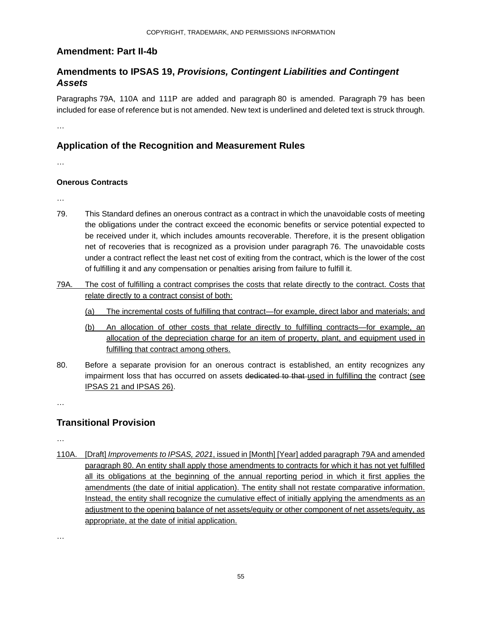# <span id="page-54-0"></span>**Amendment: Part II-4b**

# **Amendments to IPSAS 19,** *Provisions, Contingent Liabilities and Contingent Assets*

Paragraphs 79A, 110A and 111P are added and paragraph 80 is amended. Paragraph 79 has been included for ease of reference but is not amended. New text is underlined and deleted text is struck through.

…

# **Application of the Recognition and Measurement Rules**

…

### **Onerous Contracts**

…

- 79. This Standard defines an onerous contract as a contract in which the unavoidable costs of meeting the obligations under the contract exceed the economic benefits or service potential expected to be received under it, which includes amounts recoverable. Therefore, it is the present obligation net of recoveries that is recognized as a provision under paragraph 76. The unavoidable costs under a contract reflect the least net cost of exiting from the contract, which is the lower of the cost of fulfilling it and any compensation or penalties arising from failure to fulfill it.
- 79A. The cost of fulfilling a contract comprises the costs that relate directly to the contract. Costs that relate directly to a contract consist of both:

(a) The incremental costs of fulfilling that contract—for example, direct labor and materials; and

- (b) An allocation of other costs that relate directly to fulfilling contracts—for example, an allocation of the depreciation charge for an item of property, plant, and equipment used in fulfilling that contract among others.
- 80. Before a separate provision for an onerous contract is established, an entity recognizes any impairment loss that has occurred on assets dedicated to that used in fulfilling the contract (see IPSAS 21 and IPSAS 26).

…

# **Transitional Provision**

…

110A. [Draft] *Improvements to IPSAS, 2021*, issued in [Month] [Year] added paragraph 79A and amended paragraph 80. An entity shall apply those amendments to contracts for which it has not yet fulfilled all its obligations at the beginning of the annual reporting period in which it first applies the amendments (the date of initial application). The entity shall not restate comparative information. Instead, the entity shall recognize the cumulative effect of initially applying the amendments as an adjustment to the opening balance of net assets/equity or other component of net assets/equity, as appropriate, at the date of initial application.

…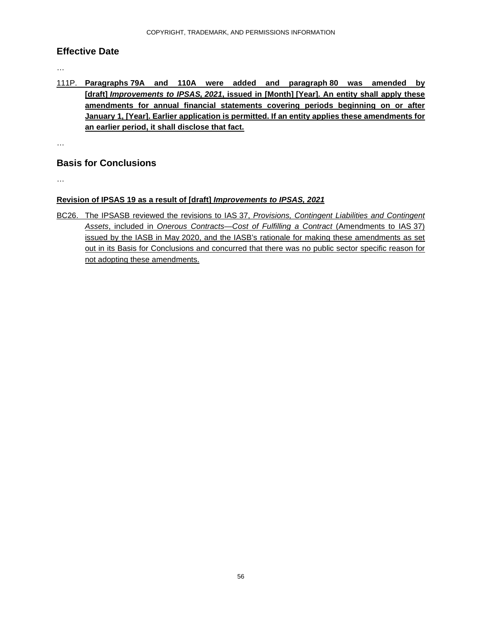# **Effective Date**

…

111P. **Paragraphs 79A and 110A were added and paragraph 80 was amended by [draft]** *Improvements to IPSAS, 2021***, issued in [Month] [Year]. An entity shall apply these amendments for annual financial statements covering periods beginning on or after January 1, [Year]. Earlier application is permitted. If an entity applies these amendments for an earlier period, it shall disclose that fact.**

…

# **Basis for Conclusions**

…

#### **Revision of IPSAS 19 as a result of [draft]** *Improvements to IPSAS, 2021*

BC26. The IPSASB reviewed the revisions to IAS 37, *Provisions, Contingent Liabilities and Contingent Assets*, included in *Onerous Contracts—Cost of Fulfilling a Contract* (Amendments to IAS 37) issued by the IASB in May 2020, and the IASB's rationale for making these amendments as set out in its Basis for Conclusions and concurred that there was no public sector specific reason for not adopting these amendments.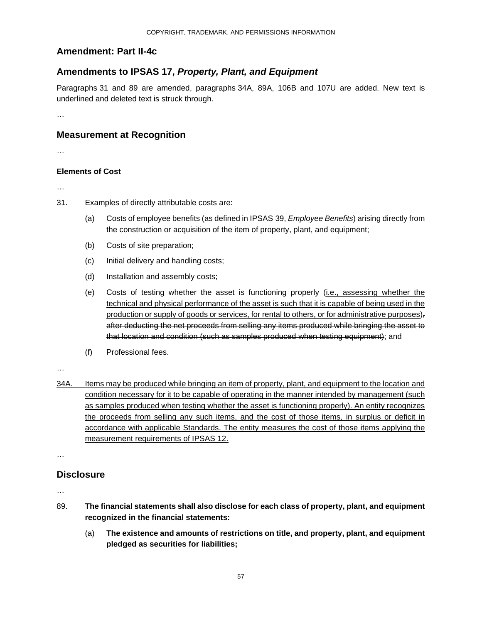# <span id="page-56-0"></span>**Amendment: Part II-4c**

# **Amendments to IPSAS 17,** *Property, Plant, and Equipment*

Paragraphs 31 and 89 are amended, paragraphs 34A, 89A, 106B and 107U are added. New text is underlined and deleted text is struck through.

…

### **Measurement at Recognition**

…

#### **Elements of Cost**

…

- 31. Examples of directly attributable costs are:
	- (a) Costs of employee benefits (as defined in IPSAS 39, *Employee Benefits*) arising directly from the construction or acquisition of the item of property, plant, and equipment;
	- (b) Costs of site preparation;
	- (c) Initial delivery and handling costs;
	- (d) Installation and assembly costs;
	- (e) Costs of testing whether the asset is functioning properly (i.e., assessing whether the technical and physical performance of the asset is such that it is capable of being used in the production or supply of goods or services, for rental to others, or for administrative purposes) $<sub>7</sub>$ </sub> after deducting the net proceeds from selling any items produced while bringing the asset to that location and condition (such as samples produced when testing equipment); and
	- (f) Professional fees.

…

34A. Items may be produced while bringing an item of property, plant, and equipment to the location and condition necessary for it to be capable of operating in the manner intended by management (such as samples produced when testing whether the asset is functioning properly). An entity recognizes the proceeds from selling any such items, and the cost of those items, in surplus or deficit in accordance with applicable Standards. The entity measures the cost of those items applying the measurement requirements of IPSAS 12.

…

### **Disclosure**

…

- 89. **The financial statements shall also disclose for each class of property, plant, and equipment recognized in the financial statements:**
	- (a) **The existence and amounts of restrictions on title, and property, plant, and equipment pledged as securities for liabilities;**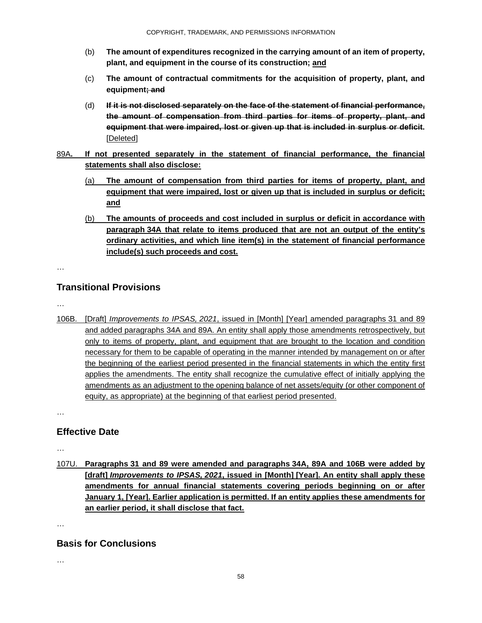- (b) **The amount of expenditures recognized in the carrying amount of an item of property, plant, and equipment in the course of its construction; and**
- (c) **The amount of contractual commitments for the acquisition of property, plant, and equipment; and**
- (d) **If it is not disclosed separately on the face of the statement of financial performance, the amount of compensation from third parties for items of property, plant, and equipment that were impaired, lost or given up that is included in surplus or deficit.** [Deleted]
- 89A**. If not presented separately in the statement of financial performance, the financial statements shall also disclose:**
	- (a) **The amount of compensation from third parties for items of property, plant, and equipment that were impaired, lost or given up that is included in surplus or deficit; and**
	- (b) **The amounts of proceeds and cost included in surplus or deficit in accordance with paragraph 34A that relate to items produced that are not an output of the entity's ordinary activities, and which line item(s) in the statement of financial performance include(s) such proceeds and cost.**

…

### **Transitional Provisions**

…

106B. [Draft] *Improvements to IPSAS, 2021*, issued in [Month] [Year] amended paragraphs 31 and 89 and added paragraphs 34A and 89A. An entity shall apply those amendments retrospectively, but only to items of property, plant, and equipment that are brought to the location and condition necessary for them to be capable of operating in the manner intended by management on or after the beginning of the earliest period presented in the financial statements in which the entity first applies the amendments. The entity shall recognize the cumulative effect of initially applying the amendments as an adjustment to the opening balance of net assets/equity (or other component of equity, as appropriate) at the beginning of that earliest period presented.

…

### **Effective Date**

…

107U. **Paragraphs 31 and 89 were amended and paragraphs 34A, 89A and 106B were added by [draft]** *Improvements to IPSAS, 2021***, issued in [Month] [Year]. An entity shall apply these amendments for annual financial statements covering periods beginning on or after January 1, [Year]. Earlier application is permitted. If an entity applies these amendments for an earlier period, it shall disclose that fact.**

…

### **Basis for Conclusions**

…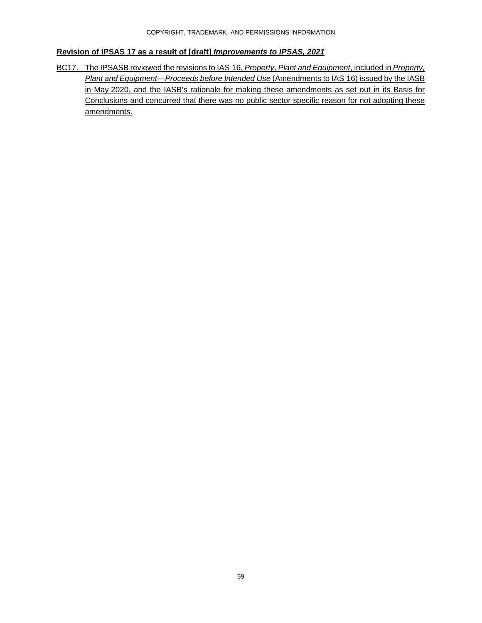#### **Revision of IPSAS 17 as a result of [draft]** *Improvements to IPSAS, 2021*

BC17. The IPSASB reviewed the revisions to IAS 16, *Property, Plant and Equipment*, included in *Property, Plant and Equipment—Proceeds before Intended Use* (Amendments to IAS 16) issued by the IASB in May 2020, and the IASB's rationale for making these amendments as set out in its Basis for Conclusions and concurred that there was no public sector specific reason for not adopting these amendments.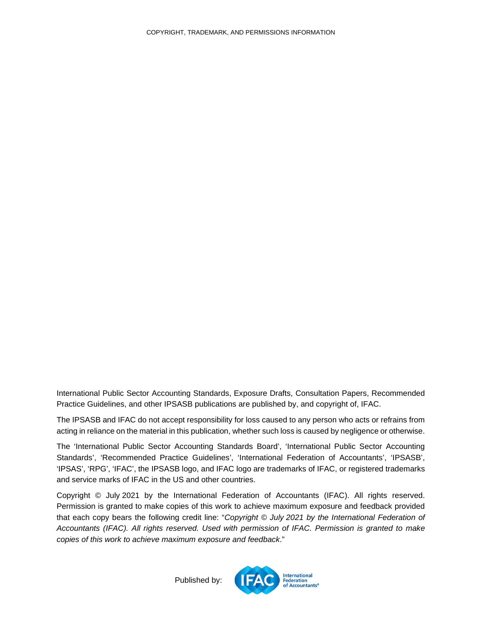<span id="page-59-0"></span>International Public Sector Accounting Standards, Exposure Drafts, Consultation Papers, Recommended Practice Guidelines, and other IPSASB publications are published by, and copyright of, IFAC.

The IPSASB and IFAC do not accept responsibility for loss caused to any person who acts or refrains from acting in reliance on the material in this publication, whether such loss is caused by negligence or otherwise.

The 'International Public Sector Accounting Standards Board', 'International Public Sector Accounting Standards', 'Recommended Practice Guidelines', 'International Federation of Accountants', 'IPSASB', 'IPSAS', 'RPG', 'IFAC', the IPSASB logo, and IFAC logo are trademarks of IFAC, or registered trademarks and service marks of IFAC in the US and other countries.

Copyright © July 2021 by the International Federation of Accountants (IFAC). All rights reserved. Permission is granted to make copies of this work to achieve maximum exposure and feedback provided that each copy bears the following credit line: "*Copyright © July 2021 by the International Federation of Accountants (IFAC). All rights reserved. Used with permission of IFAC. Permission is granted to make copies of this work to achieve maximum exposure and feedback*."

Published by: